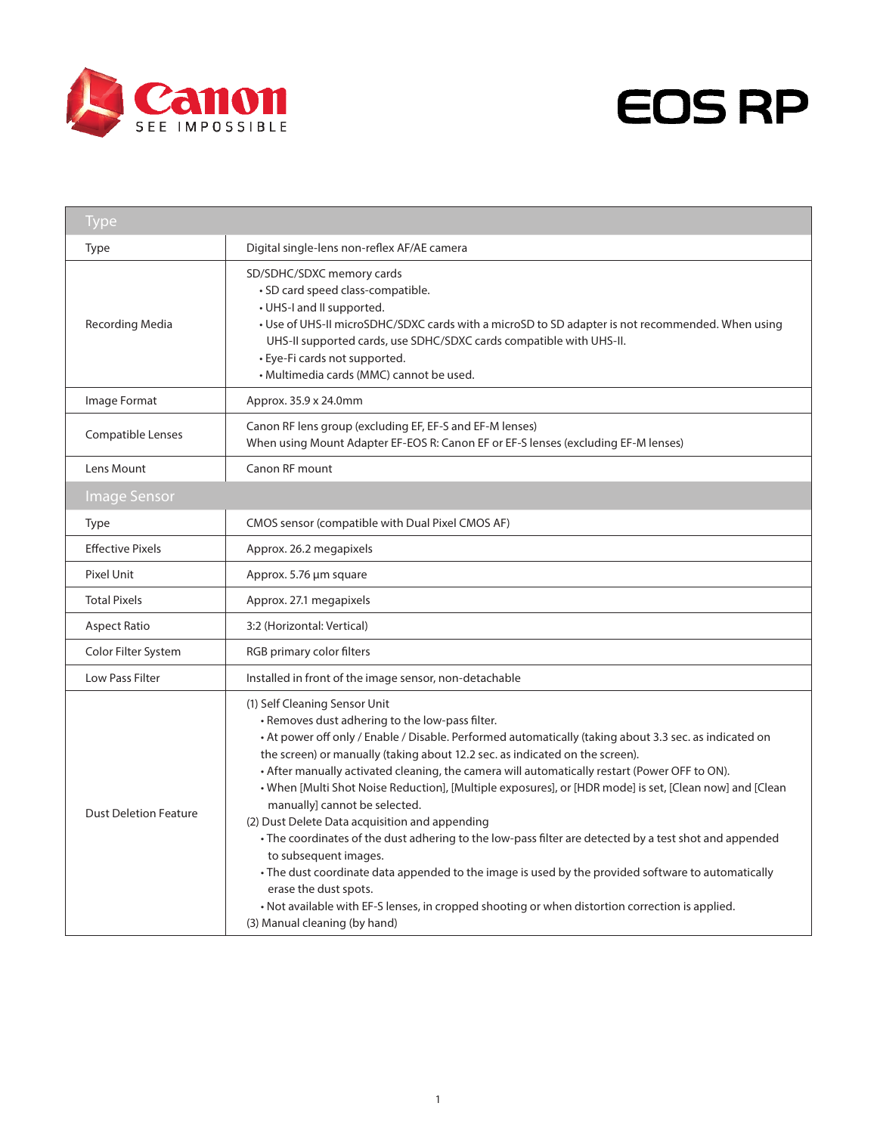



| <b>Type</b>                  |                                                                                                                                                                                                                                                                                                                                                                                                                                                                                                                                                                                                                                                                                                                                                                                                                                                                                                                                                                                 |
|------------------------------|---------------------------------------------------------------------------------------------------------------------------------------------------------------------------------------------------------------------------------------------------------------------------------------------------------------------------------------------------------------------------------------------------------------------------------------------------------------------------------------------------------------------------------------------------------------------------------------------------------------------------------------------------------------------------------------------------------------------------------------------------------------------------------------------------------------------------------------------------------------------------------------------------------------------------------------------------------------------------------|
| Type                         | Digital single-lens non-reflex AF/AE camera                                                                                                                                                                                                                                                                                                                                                                                                                                                                                                                                                                                                                                                                                                                                                                                                                                                                                                                                     |
| Recording Media              | SD/SDHC/SDXC memory cards<br>· SD card speed class-compatible.<br>• UHS-I and II supported.<br>• Use of UHS-II microSDHC/SDXC cards with a microSD to SD adapter is not recommended. When using<br>UHS-II supported cards, use SDHC/SDXC cards compatible with UHS-II.<br>• Eye-Fi cards not supported.<br>· Multimedia cards (MMC) cannot be used.                                                                                                                                                                                                                                                                                                                                                                                                                                                                                                                                                                                                                             |
| Image Format                 | Approx. 35.9 x 24.0mm                                                                                                                                                                                                                                                                                                                                                                                                                                                                                                                                                                                                                                                                                                                                                                                                                                                                                                                                                           |
| <b>Compatible Lenses</b>     | Canon RF lens group (excluding EF, EF-S and EF-M lenses)<br>When using Mount Adapter EF-EOS R: Canon EF or EF-S lenses (excluding EF-M lenses)                                                                                                                                                                                                                                                                                                                                                                                                                                                                                                                                                                                                                                                                                                                                                                                                                                  |
| Lens Mount                   | Canon RF mount                                                                                                                                                                                                                                                                                                                                                                                                                                                                                                                                                                                                                                                                                                                                                                                                                                                                                                                                                                  |
| <b>Image Sensor</b>          |                                                                                                                                                                                                                                                                                                                                                                                                                                                                                                                                                                                                                                                                                                                                                                                                                                                                                                                                                                                 |
| <b>Type</b>                  | CMOS sensor (compatible with Dual Pixel CMOS AF)                                                                                                                                                                                                                                                                                                                                                                                                                                                                                                                                                                                                                                                                                                                                                                                                                                                                                                                                |
| <b>Effective Pixels</b>      | Approx. 26.2 megapixels                                                                                                                                                                                                                                                                                                                                                                                                                                                                                                                                                                                                                                                                                                                                                                                                                                                                                                                                                         |
| Pixel Unit                   | Approx. 5.76 µm square                                                                                                                                                                                                                                                                                                                                                                                                                                                                                                                                                                                                                                                                                                                                                                                                                                                                                                                                                          |
| <b>Total Pixels</b>          | Approx. 27.1 megapixels                                                                                                                                                                                                                                                                                                                                                                                                                                                                                                                                                                                                                                                                                                                                                                                                                                                                                                                                                         |
| <b>Aspect Ratio</b>          | 3:2 (Horizontal: Vertical)                                                                                                                                                                                                                                                                                                                                                                                                                                                                                                                                                                                                                                                                                                                                                                                                                                                                                                                                                      |
| Color Filter System          | RGB primary color filters                                                                                                                                                                                                                                                                                                                                                                                                                                                                                                                                                                                                                                                                                                                                                                                                                                                                                                                                                       |
| Low Pass Filter              | Installed in front of the image sensor, non-detachable                                                                                                                                                                                                                                                                                                                                                                                                                                                                                                                                                                                                                                                                                                                                                                                                                                                                                                                          |
| <b>Dust Deletion Feature</b> | (1) Self Cleaning Sensor Unit<br>• Removes dust adhering to the low-pass filter.<br>• At power off only / Enable / Disable. Performed automatically (taking about 3.3 sec. as indicated on<br>the screen) or manually (taking about 12.2 sec. as indicated on the screen).<br>• After manually activated cleaning, the camera will automatically restart (Power OFF to ON).<br>. When [Multi Shot Noise Reduction], [Multiple exposures], or [HDR mode] is set, [Clean now] and [Clean<br>manually] cannot be selected.<br>(2) Dust Delete Data acquisition and appending<br>• The coordinates of the dust adhering to the low-pass filter are detected by a test shot and appended<br>to subsequent images.<br>• The dust coordinate data appended to the image is used by the provided software to automatically<br>erase the dust spots.<br>. Not available with EF-S lenses, in cropped shooting or when distortion correction is applied.<br>(3) Manual cleaning (by hand) |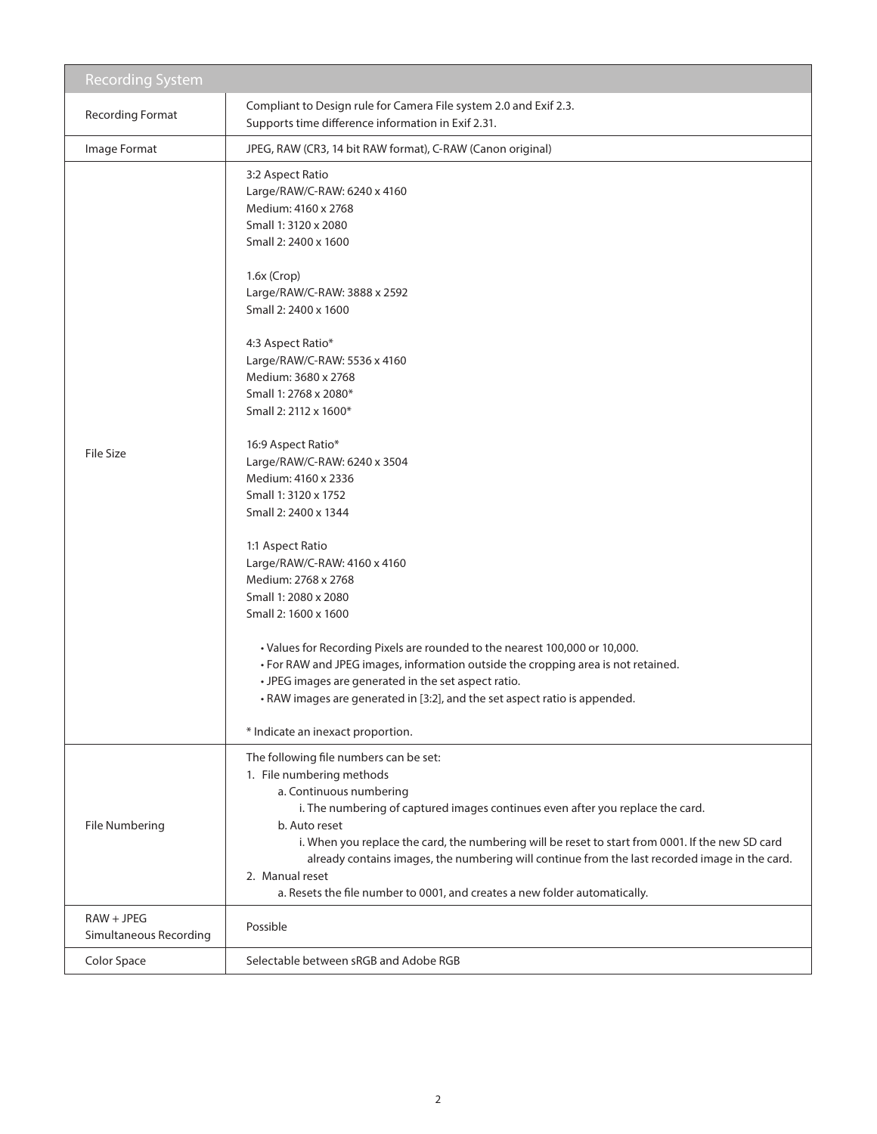| <b>Recording System</b>                |                                                                                                                                                                                                                                                                                                                                                                                                                                                                                                                                                                                                                                                                                                                                                                                                                                                                                                                                       |
|----------------------------------------|---------------------------------------------------------------------------------------------------------------------------------------------------------------------------------------------------------------------------------------------------------------------------------------------------------------------------------------------------------------------------------------------------------------------------------------------------------------------------------------------------------------------------------------------------------------------------------------------------------------------------------------------------------------------------------------------------------------------------------------------------------------------------------------------------------------------------------------------------------------------------------------------------------------------------------------|
| <b>Recording Format</b>                | Compliant to Design rule for Camera File system 2.0 and Exif 2.3.<br>Supports time difference information in Exif 2.31.                                                                                                                                                                                                                                                                                                                                                                                                                                                                                                                                                                                                                                                                                                                                                                                                               |
| Image Format                           | JPEG, RAW (CR3, 14 bit RAW format), C-RAW (Canon original)                                                                                                                                                                                                                                                                                                                                                                                                                                                                                                                                                                                                                                                                                                                                                                                                                                                                            |
| <b>File Size</b>                       | 3:2 Aspect Ratio<br>Large/RAW/C-RAW: 6240 x 4160<br>Medium: 4160 x 2768<br>Small 1: 3120 x 2080<br>Small 2: 2400 x 1600<br>$1.6x$ (Crop)<br>Large/RAW/C-RAW: 3888 x 2592<br>Small 2: 2400 x 1600<br>4:3 Aspect Ratio*<br>Large/RAW/C-RAW: 5536 x 4160<br>Medium: 3680 x 2768<br>Small 1: 2768 x 2080*<br>Small 2: 2112 x 1600*<br>16:9 Aspect Ratio*<br>Large/RAW/C-RAW: 6240 x 3504<br>Medium: 4160 x 2336<br>Small 1: 3120 x 1752<br>Small 2: 2400 x 1344<br>1:1 Aspect Ratio<br>Large/RAW/C-RAW: 4160 x 4160<br>Medium: 2768 x 2768<br>Small 1: 2080 x 2080<br>Small 2: 1600 x 1600<br>• Values for Recording Pixels are rounded to the nearest 100,000 or 10,000.<br>• For RAW and JPEG images, information outside the cropping area is not retained.<br>• JPEG images are generated in the set aspect ratio.<br>• RAW images are generated in [3:2], and the set aspect ratio is appended.<br>* Indicate an inexact proportion. |
| File Numbering                         | The following file numbers can be set:<br>1. File numbering methods<br>a. Continuous numbering<br>i. The numbering of captured images continues even after you replace the card.<br>b. Auto reset<br>i. When you replace the card, the numbering will be reset to start from 0001. If the new SD card<br>already contains images, the numbering will continue from the last recorded image in the card.<br>2. Manual reset<br>a. Resets the file number to 0001, and creates a new folder automatically.                                                                                                                                                                                                                                                                                                                                                                                                                              |
| $RAW + JPEG$<br>Simultaneous Recording | Possible                                                                                                                                                                                                                                                                                                                                                                                                                                                                                                                                                                                                                                                                                                                                                                                                                                                                                                                              |
| Color Space                            | Selectable between sRGB and Adobe RGB                                                                                                                                                                                                                                                                                                                                                                                                                                                                                                                                                                                                                                                                                                                                                                                                                                                                                                 |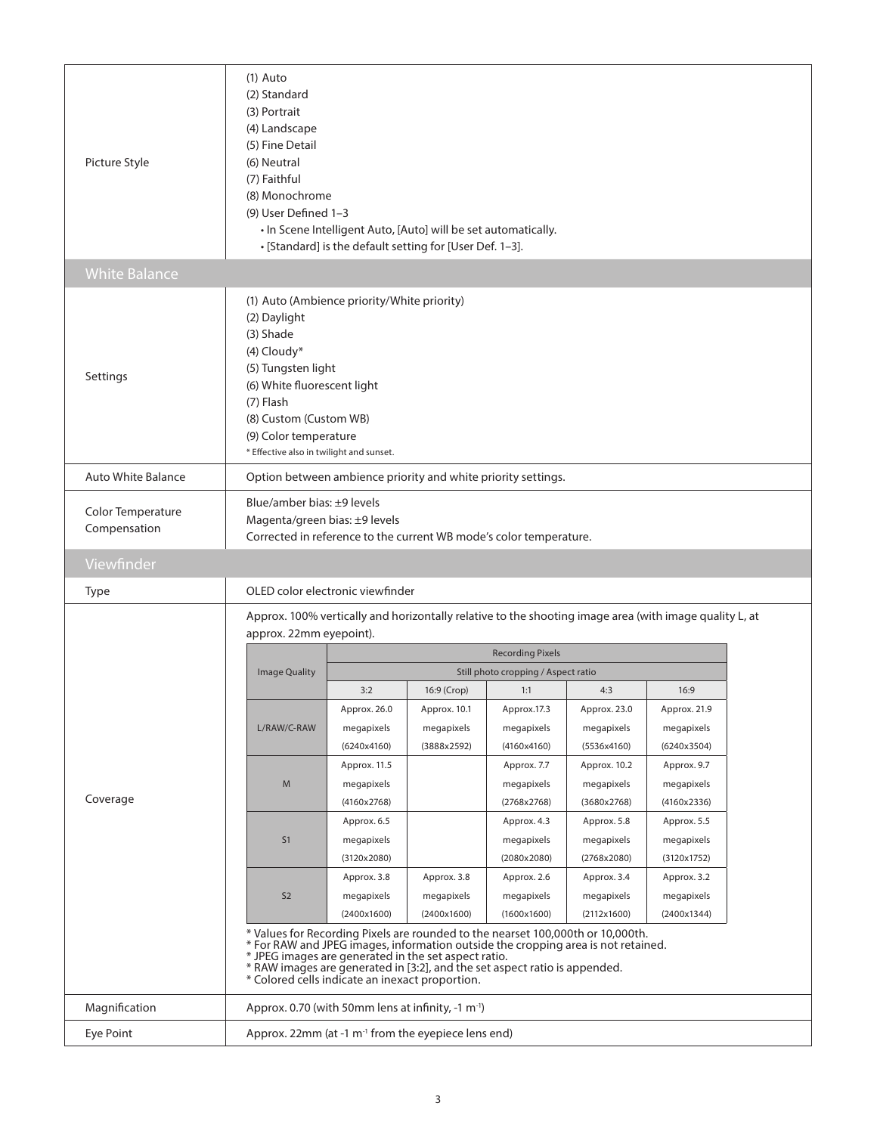| Picture Style                     | $(1)$ Auto<br>(2) Standard<br>(3) Portrait<br>(4) Landscape<br>(5) Fine Detail<br>(6) Neutral<br>(7) Faithful<br>(8) Monochrome<br>(9) User Defined 1-3                                                                                                                                                                                                                                                                                                                                                                                                                                                                                                                                                                                                                                                                                                                                                                                                                                                                                                                                                                                                                                                                                                                                                                                                                                                                                                                                                                        |                                                                 | . In Scene Intelligent Auto, [Auto] will be set automatically.<br>• [Standard] is the default setting for [User Def. 1-3]. |  |  |  |  |  |
|-----------------------------------|--------------------------------------------------------------------------------------------------------------------------------------------------------------------------------------------------------------------------------------------------------------------------------------------------------------------------------------------------------------------------------------------------------------------------------------------------------------------------------------------------------------------------------------------------------------------------------------------------------------------------------------------------------------------------------------------------------------------------------------------------------------------------------------------------------------------------------------------------------------------------------------------------------------------------------------------------------------------------------------------------------------------------------------------------------------------------------------------------------------------------------------------------------------------------------------------------------------------------------------------------------------------------------------------------------------------------------------------------------------------------------------------------------------------------------------------------------------------------------------------------------------------------------|-----------------------------------------------------------------|----------------------------------------------------------------------------------------------------------------------------|--|--|--|--|--|
| <b>White Balance</b>              |                                                                                                                                                                                                                                                                                                                                                                                                                                                                                                                                                                                                                                                                                                                                                                                                                                                                                                                                                                                                                                                                                                                                                                                                                                                                                                                                                                                                                                                                                                                                |                                                                 |                                                                                                                            |  |  |  |  |  |
| Settings                          | (1) Auto (Ambience priority/White priority)<br>(2) Daylight<br>(3) Shade<br>(4) Cloudy*<br>(5) Tungsten light<br>(6) White fluorescent light<br>$(7)$ Flash<br>(8) Custom (Custom WB)<br>(9) Color temperature<br>* Effective also in twilight and sunset.                                                                                                                                                                                                                                                                                                                                                                                                                                                                                                                                                                                                                                                                                                                                                                                                                                                                                                                                                                                                                                                                                                                                                                                                                                                                     |                                                                 |                                                                                                                            |  |  |  |  |  |
| <b>Auto White Balance</b>         | Option between ambience priority and white priority settings.                                                                                                                                                                                                                                                                                                                                                                                                                                                                                                                                                                                                                                                                                                                                                                                                                                                                                                                                                                                                                                                                                                                                                                                                                                                                                                                                                                                                                                                                  |                                                                 |                                                                                                                            |  |  |  |  |  |
| Color Temperature<br>Compensation | Blue/amber bias: $\pm$ 9 levels<br>Magenta/green bias: ±9 levels<br>Corrected in reference to the current WB mode's color temperature.                                                                                                                                                                                                                                                                                                                                                                                                                                                                                                                                                                                                                                                                                                                                                                                                                                                                                                                                                                                                                                                                                                                                                                                                                                                                                                                                                                                         |                                                                 |                                                                                                                            |  |  |  |  |  |
| Viewfinder                        |                                                                                                                                                                                                                                                                                                                                                                                                                                                                                                                                                                                                                                                                                                                                                                                                                                                                                                                                                                                                                                                                                                                                                                                                                                                                                                                                                                                                                                                                                                                                |                                                                 |                                                                                                                            |  |  |  |  |  |
| Type                              | OLED color electronic viewfinder                                                                                                                                                                                                                                                                                                                                                                                                                                                                                                                                                                                                                                                                                                                                                                                                                                                                                                                                                                                                                                                                                                                                                                                                                                                                                                                                                                                                                                                                                               |                                                                 |                                                                                                                            |  |  |  |  |  |
| Coverage                          | Approx. 100% vertically and horizontally relative to the shooting image area (with image quality L, at<br>approx. 22mm eyepoint).<br><b>Recording Pixels</b><br><b>Image Quality</b><br>Still photo cropping / Aspect ratio<br>16:9 (Crop)<br>16:9<br>3:2<br>1:1<br>4:3<br>Approx. 26.0<br>Approx. 10.1<br>Approx.17.3<br>Approx. 23.0<br>Approx. 21.9<br>L/RAW/C-RAW<br>megapixels<br>megapixels<br>megapixels<br>megapixels<br>megapixels<br>(3888x2592)<br>(6240x3504)<br>(6240x4160)<br>(4160x4160)<br>(5536x4160)<br>Approx. 11.5<br>Approx. 7.7<br>Approx. 10.2<br>Approx. 9.7<br>M<br>megapixels<br>megapixels<br>megapixels<br>megapixels<br>(4160x2768)<br>(2768x2768)<br>(3680x2768)<br>(4160x2336)<br>Approx. 6.5<br>Approx. 4.3<br>Approx. 5.8<br>Approx. 5.5<br>S <sub>1</sub><br>megapixels<br>megapixels<br>megapixels<br>megapixels<br>(3120x2080)<br>(2080x2080)<br>(2768x2080)<br>(3120x1752)<br>Approx. 3.8<br>Approx. 3.8<br>Approx. 2.6<br>Approx. 3.4<br>Approx. 3.2<br>S <sub>2</sub><br>megapixels<br>megapixels<br>megapixels<br>megapixels<br>megapixels<br>(2400x1600)<br>(2400x1344)<br>(2400x1600)<br>(1600x1600)<br>(2112x1600)<br>* Values for Recording Pixels are rounded to the nearset 100,000th or 10,000th.<br>* For RAW and JPEG images, information outside the cropping area is not retained.<br>* JPEG images are generated in the set aspect ratio.<br>* RAW images are generated in [3:2], and the set aspect ratio is appended.<br>* Colored cells indicate an inexact proportion. |                                                                 |                                                                                                                            |  |  |  |  |  |
| Magnification                     | Approx. 0.70 (with 50mm lens at infinity, -1 m <sup>-1</sup> )                                                                                                                                                                                                                                                                                                                                                                                                                                                                                                                                                                                                                                                                                                                                                                                                                                                                                                                                                                                                                                                                                                                                                                                                                                                                                                                                                                                                                                                                 |                                                                 |                                                                                                                            |  |  |  |  |  |
| Eye Point                         |                                                                                                                                                                                                                                                                                                                                                                                                                                                                                                                                                                                                                                                                                                                                                                                                                                                                                                                                                                                                                                                                                                                                                                                                                                                                                                                                                                                                                                                                                                                                | Approx. 22mm (at -1 m <sup>-1</sup> from the eyepiece lens end) |                                                                                                                            |  |  |  |  |  |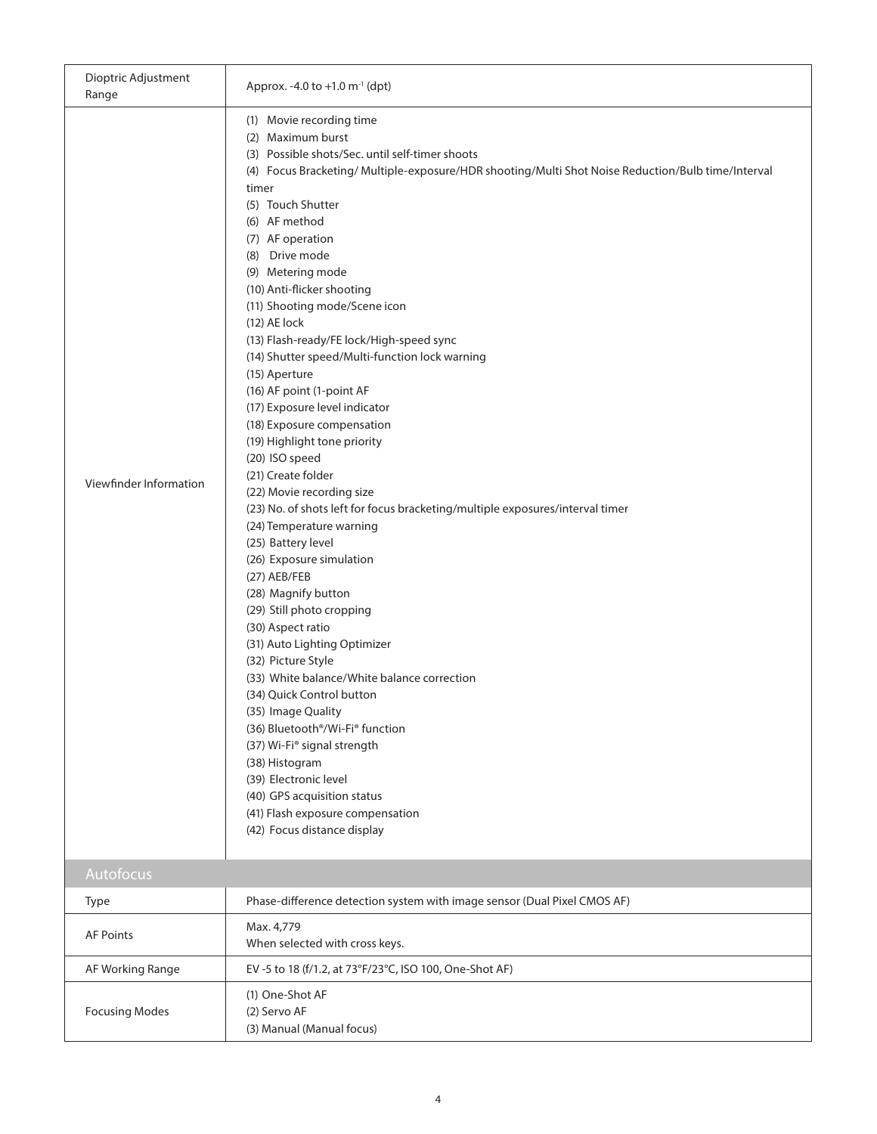| Dioptric Adjustment<br>Range | Approx. -4.0 to +1.0 $m^{-1}$ (dpt)                                                                                                                                                                                                                                                                                                                                                                                                                                                                                                                                                                                                                                                                                                                                                                                                                                                                                                                                                                                                                                                                                                                                                                                                                                                                                                                                     |
|------------------------------|-------------------------------------------------------------------------------------------------------------------------------------------------------------------------------------------------------------------------------------------------------------------------------------------------------------------------------------------------------------------------------------------------------------------------------------------------------------------------------------------------------------------------------------------------------------------------------------------------------------------------------------------------------------------------------------------------------------------------------------------------------------------------------------------------------------------------------------------------------------------------------------------------------------------------------------------------------------------------------------------------------------------------------------------------------------------------------------------------------------------------------------------------------------------------------------------------------------------------------------------------------------------------------------------------------------------------------------------------------------------------|
| Viewfinder Information       | (1) Movie recording time<br>(2) Maximum burst<br>(3) Possible shots/Sec. until self-timer shoots<br>(4) Focus Bracketing/ Multiple-exposure/HDR shooting/Multi Shot Noise Reduction/Bulb time/Interval<br>timer<br>(5) Touch Shutter<br>(6) AF method<br>(7) AF operation<br>(8) Drive mode<br>(9) Metering mode<br>(10) Anti-flicker shooting<br>(11) Shooting mode/Scene icon<br>(12) AE lock<br>(13) Flash-ready/FE lock/High-speed sync<br>(14) Shutter speed/Multi-function lock warning<br>(15) Aperture<br>(16) AF point (1-point AF<br>(17) Exposure level indicator<br>(18) Exposure compensation<br>(19) Highlight tone priority<br>(20) ISO speed<br>(21) Create folder<br>(22) Movie recording size<br>(23) No. of shots left for focus bracketing/multiple exposures/interval timer<br>(24) Temperature warning<br>(25) Battery level<br>(26) Exposure simulation<br>(27) AEB/FEB<br>(28) Magnify button<br>(29) Still photo cropping<br>(30) Aspect ratio<br>(31) Auto Lighting Optimizer<br>(32) Picture Style<br>(33) White balance/White balance correction<br>(34) Quick Control button<br>(35) Image Quality<br>(36) Bluetooth <sup>®</sup> /Wi-Fi <sup>®</sup> function<br>(37) Wi-Fi® signal strength<br>(38) Histogram<br>(39) Electronic level<br>(40) GPS acquisition status<br>(41) Flash exposure compensation<br>(42) Focus distance display |
| Autofocus<br>Type            | Phase-difference detection system with image sensor (Dual Pixel CMOS AF)                                                                                                                                                                                                                                                                                                                                                                                                                                                                                                                                                                                                                                                                                                                                                                                                                                                                                                                                                                                                                                                                                                                                                                                                                                                                                                |
| <b>AF Points</b>             | Max. 4,779<br>When selected with cross keys.                                                                                                                                                                                                                                                                                                                                                                                                                                                                                                                                                                                                                                                                                                                                                                                                                                                                                                                                                                                                                                                                                                                                                                                                                                                                                                                            |
| AF Working Range             | EV-5 to 18 (f/1.2, at 73°F/23°C, ISO 100, One-Shot AF)                                                                                                                                                                                                                                                                                                                                                                                                                                                                                                                                                                                                                                                                                                                                                                                                                                                                                                                                                                                                                                                                                                                                                                                                                                                                                                                  |
| <b>Focusing Modes</b>        | (1) One-Shot AF<br>(2) Servo AF<br>(3) Manual (Manual focus)                                                                                                                                                                                                                                                                                                                                                                                                                                                                                                                                                                                                                                                                                                                                                                                                                                                                                                                                                                                                                                                                                                                                                                                                                                                                                                            |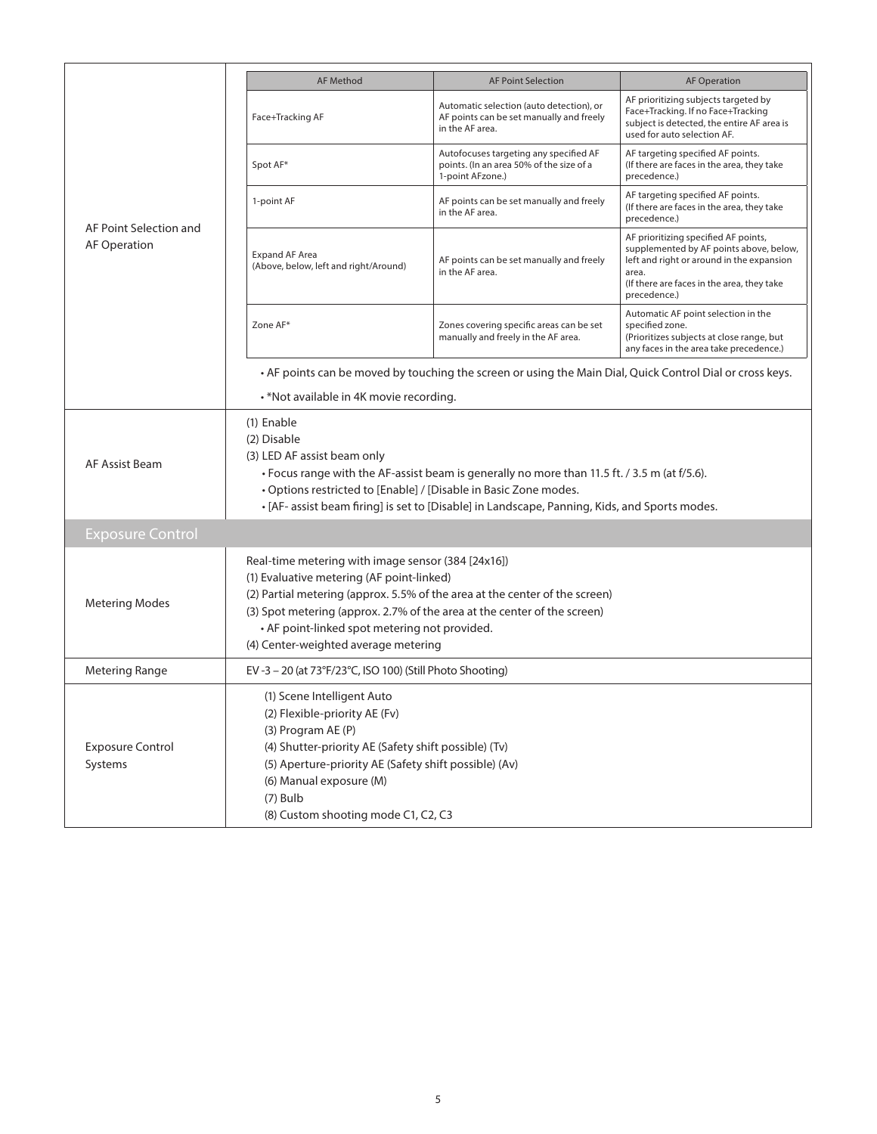|                                               | <b>AF Method</b>                                                                                                                                                                                                                                                                                                                                    | <b>AF Point Selection</b>                                                                               | <b>AF Operation</b>                                                                                                                                                                                 |  |  |  |  |  |
|-----------------------------------------------|-----------------------------------------------------------------------------------------------------------------------------------------------------------------------------------------------------------------------------------------------------------------------------------------------------------------------------------------------------|---------------------------------------------------------------------------------------------------------|-----------------------------------------------------------------------------------------------------------------------------------------------------------------------------------------------------|--|--|--|--|--|
|                                               | Face+Tracking AF                                                                                                                                                                                                                                                                                                                                    | Automatic selection (auto detection), or<br>AF points can be set manually and freely<br>in the AF area. | AF prioritizing subjects targeted by<br>Face+Tracking. If no Face+Tracking<br>subject is detected, the entire AF area is<br>used for auto selection AF.                                             |  |  |  |  |  |
|                                               | Spot AF*                                                                                                                                                                                                                                                                                                                                            | Autofocuses targeting any specified AF<br>points. (In an area 50% of the size of a<br>1-point AFzone.)  | AF targeting specified AF points.<br>(If there are faces in the area, they take<br>precedence.)                                                                                                     |  |  |  |  |  |
| AF Point Selection and<br><b>AF Operation</b> | 1-point AF                                                                                                                                                                                                                                                                                                                                          | AF points can be set manually and freely<br>in the AF area.                                             | AF targeting specified AF points.<br>(If there are faces in the area, they take<br>precedence.)                                                                                                     |  |  |  |  |  |
|                                               | <b>Expand AF Area</b><br>(Above, below, left and right/Around)                                                                                                                                                                                                                                                                                      | AF points can be set manually and freely<br>in the AF area.                                             | AF prioritizing specified AF points,<br>supplemented by AF points above, below,<br>left and right or around in the expansion<br>area.<br>(If there are faces in the area, they take<br>precedence.) |  |  |  |  |  |
|                                               | Zone AF*                                                                                                                                                                                                                                                                                                                                            | Zones covering specific areas can be set<br>manually and freely in the AF area.                         | Automatic AF point selection in the<br>specified zone.<br>(Prioritizes subjects at close range, but<br>any faces in the area take precedence.)                                                      |  |  |  |  |  |
|                                               | • AF points can be moved by touching the screen or using the Main Dial, Quick Control Dial or cross keys.                                                                                                                                                                                                                                           |                                                                                                         |                                                                                                                                                                                                     |  |  |  |  |  |
|                                               | . *Not available in 4K movie recording.                                                                                                                                                                                                                                                                                                             |                                                                                                         |                                                                                                                                                                                                     |  |  |  |  |  |
| AF Assist Beam                                | (1) Enable<br>(2) Disable<br>(3) LED AF assist beam only<br>• Focus range with the AF-assist beam is generally no more than 11.5 ft. / 3.5 m (at f/5.6).<br>• Options restricted to [Enable] / [Disable in Basic Zone modes.<br>. [AF- assist beam firing] is set to [Disable] in Landscape, Panning, Kids, and Sports modes.                       |                                                                                                         |                                                                                                                                                                                                     |  |  |  |  |  |
| <b>Exposure Control</b>                       |                                                                                                                                                                                                                                                                                                                                                     |                                                                                                         |                                                                                                                                                                                                     |  |  |  |  |  |
| <b>Metering Modes</b>                         | Real-time metering with image sensor (384 [24x16])<br>(1) Evaluative metering (AF point-linked)<br>(2) Partial metering (approx. 5.5% of the area at the center of the screen)<br>(3) Spot metering (approx. 2.7% of the area at the center of the screen)<br>• AF point-linked spot metering not provided.<br>(4) Center-weighted average metering |                                                                                                         |                                                                                                                                                                                                     |  |  |  |  |  |
| <b>Metering Range</b>                         | EV-3-20 (at 73°F/23°C, ISO 100) (Still Photo Shooting)                                                                                                                                                                                                                                                                                              |                                                                                                         |                                                                                                                                                                                                     |  |  |  |  |  |
| <b>Exposure Control</b><br>Systems            | (1) Scene Intelligent Auto<br>(2) Flexible-priority AE (Fv)<br>(3) Program AE (P)<br>(4) Shutter-priority AE (Safety shift possible) (Tv)<br>(5) Aperture-priority AE (Safety shift possible) (Av)<br>(6) Manual exposure (M)<br>$(7)$ Bulb<br>(8) Custom shooting mode C1, C2, C3                                                                  |                                                                                                         |                                                                                                                                                                                                     |  |  |  |  |  |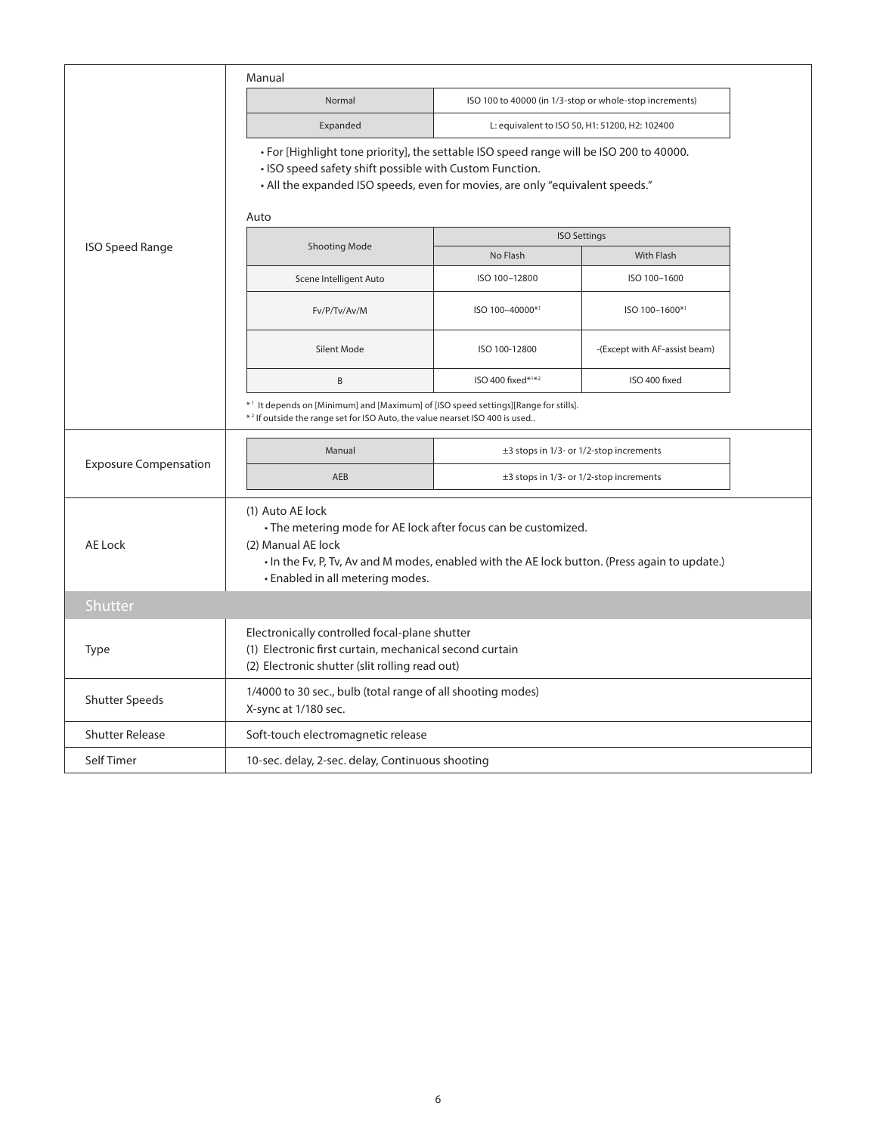|                              | Manual                                                                                                                                                                                                                                        |                                                             |                                                         |  |  |  |  |
|------------------------------|-----------------------------------------------------------------------------------------------------------------------------------------------------------------------------------------------------------------------------------------------|-------------------------------------------------------------|---------------------------------------------------------|--|--|--|--|
|                              | Normal                                                                                                                                                                                                                                        |                                                             | ISO 100 to 40000 (in 1/3-stop or whole-stop increments) |  |  |  |  |
|                              | Expanded                                                                                                                                                                                                                                      | L: equivalent to ISO 50, H1: 51200, H2: 102400              |                                                         |  |  |  |  |
|                              | • For [Highlight tone priority], the settable ISO speed range will be ISO 200 to 40000.<br>. ISO speed safety shift possible with Custom Function.<br>• All the expanded ISO speeds, even for movies, are only "equivalent speeds."<br>Auto   |                                                             |                                                         |  |  |  |  |
|                              |                                                                                                                                                                                                                                               |                                                             | <b>ISO Settings</b>                                     |  |  |  |  |
| <b>ISO Speed Range</b>       | <b>Shooting Mode</b>                                                                                                                                                                                                                          | No Flash                                                    | With Flash                                              |  |  |  |  |
|                              | Scene Intelligent Auto                                                                                                                                                                                                                        | ISO 100-12800                                               | ISO 100-1600                                            |  |  |  |  |
|                              | Fv/P/Tv/Av/M                                                                                                                                                                                                                                  | ISO 100-40000*1                                             | ISO 100-1600*1                                          |  |  |  |  |
|                              | Silent Mode                                                                                                                                                                                                                                   | ISO 100-12800                                               | -(Except with AF-assist beam)                           |  |  |  |  |
|                              | B                                                                                                                                                                                                                                             | ISO 400 fixed*1*2                                           | ISO 400 fixed                                           |  |  |  |  |
|                              | *1 It depends on [Minimum] and [Maximum] of [ISO speed settings][Range for stills].<br>*2 If outside the range set for ISO Auto, the value nearset ISO 400 is used                                                                            |                                                             |                                                         |  |  |  |  |
|                              | Manual                                                                                                                                                                                                                                        | $\pm$ 3 stops in 1/3- or 1/2-stop increments                |                                                         |  |  |  |  |
| <b>Exposure Compensation</b> | AEB                                                                                                                                                                                                                                           | $\pm$ 3 stops in 1/3- or 1/2-stop increments                |                                                         |  |  |  |  |
| <b>AE Lock</b>               | (1) Auto AE lock<br>• The metering mode for AE lock after focus can be customized.<br>(2) Manual AE lock<br>. In the Fv, P, Tv, Av and M modes, enabled with the AE lock button. (Press again to update.)<br>• Enabled in all metering modes. |                                                             |                                                         |  |  |  |  |
| Shutter                      |                                                                                                                                                                                                                                               |                                                             |                                                         |  |  |  |  |
| Type                         | Electronically controlled focal-plane shutter<br>(1) Electronic first curtain, mechanical second curtain<br>(2) Electronic shutter (slit rolling read out)                                                                                    |                                                             |                                                         |  |  |  |  |
| <b>Shutter Speeds</b>        | X-sync at 1/180 sec.                                                                                                                                                                                                                          | 1/4000 to 30 sec., bulb (total range of all shooting modes) |                                                         |  |  |  |  |
| <b>Shutter Release</b>       | Soft-touch electromagnetic release                                                                                                                                                                                                            |                                                             |                                                         |  |  |  |  |
| Self Timer                   | 10-sec. delay, 2-sec. delay, Continuous shooting                                                                                                                                                                                              |                                                             |                                                         |  |  |  |  |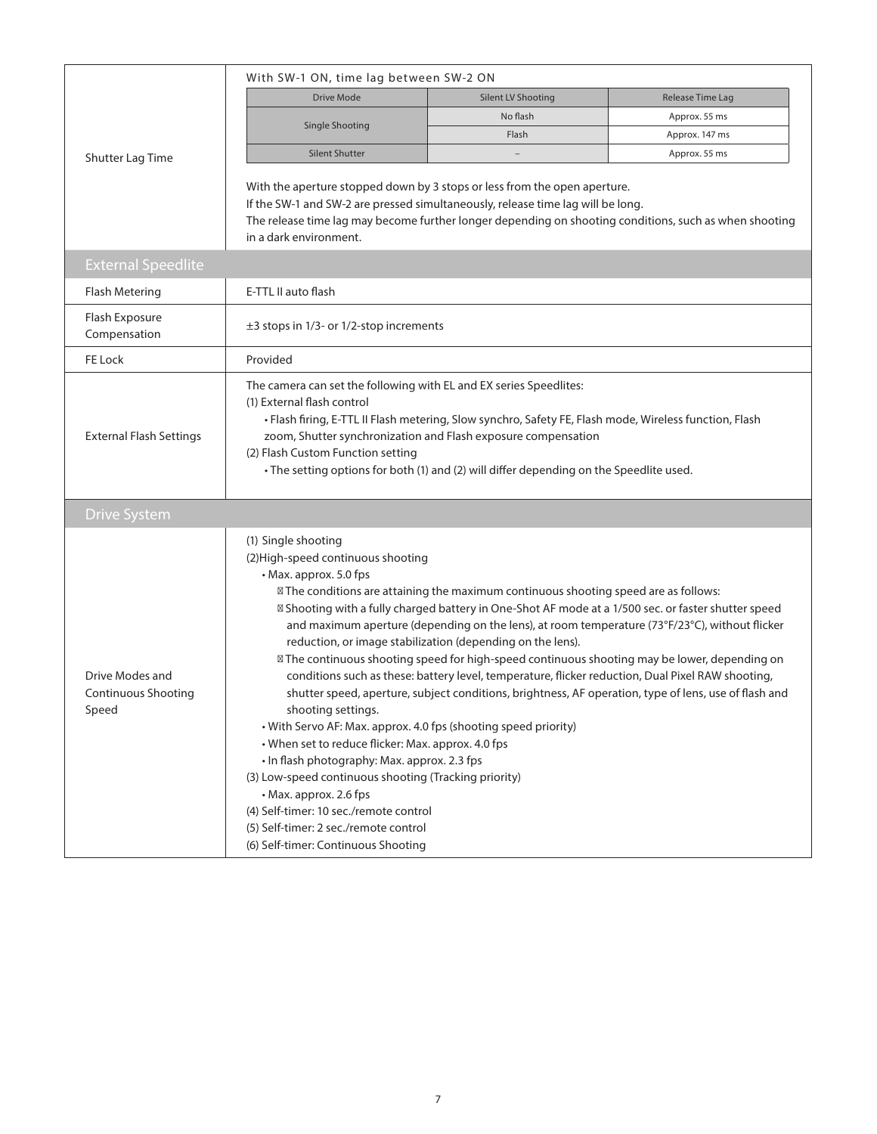|                                                        | With SW-1 ON, time lag between SW-2 ON                                                                                                                                                                                                                                                                                                                                                                                                                                                                                                                                                                                                                                                                                                                                                                                                                                                                                                                                                                                                                                                                                                                                  |                           |                  |  |  |  |  |  |
|--------------------------------------------------------|-------------------------------------------------------------------------------------------------------------------------------------------------------------------------------------------------------------------------------------------------------------------------------------------------------------------------------------------------------------------------------------------------------------------------------------------------------------------------------------------------------------------------------------------------------------------------------------------------------------------------------------------------------------------------------------------------------------------------------------------------------------------------------------------------------------------------------------------------------------------------------------------------------------------------------------------------------------------------------------------------------------------------------------------------------------------------------------------------------------------------------------------------------------------------|---------------------------|------------------|--|--|--|--|--|
|                                                        | <b>Drive Mode</b>                                                                                                                                                                                                                                                                                                                                                                                                                                                                                                                                                                                                                                                                                                                                                                                                                                                                                                                                                                                                                                                                                                                                                       | <b>Silent LV Shooting</b> | Release Time Lag |  |  |  |  |  |
|                                                        | Single Shooting                                                                                                                                                                                                                                                                                                                                                                                                                                                                                                                                                                                                                                                                                                                                                                                                                                                                                                                                                                                                                                                                                                                                                         | No flash                  | Approx. 55 ms    |  |  |  |  |  |
|                                                        |                                                                                                                                                                                                                                                                                                                                                                                                                                                                                                                                                                                                                                                                                                                                                                                                                                                                                                                                                                                                                                                                                                                                                                         | Flash                     | Approx. 147 ms   |  |  |  |  |  |
| Shutter Lag Time                                       | <b>Silent Shutter</b>                                                                                                                                                                                                                                                                                                                                                                                                                                                                                                                                                                                                                                                                                                                                                                                                                                                                                                                                                                                                                                                                                                                                                   |                           | Approx. 55 ms    |  |  |  |  |  |
|                                                        | With the aperture stopped down by 3 stops or less from the open aperture.<br>If the SW-1 and SW-2 are pressed simultaneously, release time lag will be long.<br>The release time lag may become further longer depending on shooting conditions, such as when shooting<br>in a dark environment.                                                                                                                                                                                                                                                                                                                                                                                                                                                                                                                                                                                                                                                                                                                                                                                                                                                                        |                           |                  |  |  |  |  |  |
| <b>External Speedlite</b>                              |                                                                                                                                                                                                                                                                                                                                                                                                                                                                                                                                                                                                                                                                                                                                                                                                                                                                                                                                                                                                                                                                                                                                                                         |                           |                  |  |  |  |  |  |
| <b>Flash Metering</b>                                  | E-TTL II auto flash                                                                                                                                                                                                                                                                                                                                                                                                                                                                                                                                                                                                                                                                                                                                                                                                                                                                                                                                                                                                                                                                                                                                                     |                           |                  |  |  |  |  |  |
| Flash Exposure<br>Compensation                         | $\pm$ 3 stops in 1/3- or 1/2-stop increments                                                                                                                                                                                                                                                                                                                                                                                                                                                                                                                                                                                                                                                                                                                                                                                                                                                                                                                                                                                                                                                                                                                            |                           |                  |  |  |  |  |  |
| FE Lock                                                | Provided                                                                                                                                                                                                                                                                                                                                                                                                                                                                                                                                                                                                                                                                                                                                                                                                                                                                                                                                                                                                                                                                                                                                                                |                           |                  |  |  |  |  |  |
| <b>External Flash Settings</b>                         | The camera can set the following with EL and EX series Speedlites:<br>(1) External flash control<br>· Flash firing, E-TTL II Flash metering, Slow synchro, Safety FE, Flash mode, Wireless function, Flash<br>zoom, Shutter synchronization and Flash exposure compensation<br>(2) Flash Custom Function setting<br>· The setting options for both (1) and (2) will differ depending on the Speedlite used.                                                                                                                                                                                                                                                                                                                                                                                                                                                                                                                                                                                                                                                                                                                                                             |                           |                  |  |  |  |  |  |
| <b>Drive System</b>                                    |                                                                                                                                                                                                                                                                                                                                                                                                                                                                                                                                                                                                                                                                                                                                                                                                                                                                                                                                                                                                                                                                                                                                                                         |                           |                  |  |  |  |  |  |
| Drive Modes and<br><b>Continuous Shooting</b><br>Speed | (1) Single shooting<br>(2) High-speed continuous shooting<br>• Max. approx. 5.0 fps<br>The conditions are attaining the maximum continuous shooting speed are as follows:<br>Shooting with a fully charged battery in One-Shot AF mode at a 1/500 sec. or faster shutter speed<br>and maximum aperture (depending on the lens), at room temperature (73°F/23°C), without flicker<br>reduction, or image stabilization (depending on the lens).<br>The continuous shooting speed for high-speed continuous shooting may be lower, depending on<br>conditions such as these: battery level, temperature, flicker reduction, Dual Pixel RAW shooting,<br>shutter speed, aperture, subject conditions, brightness, AF operation, type of lens, use of flash and<br>shooting settings.<br>• With Servo AF: Max. approx. 4.0 fps (shooting speed priority)<br>• When set to reduce flicker: Max. approx. 4.0 fps<br>• In flash photography: Max. approx. 2.3 fps<br>(3) Low-speed continuous shooting (Tracking priority)<br>• Max. approx. 2.6 fps<br>(4) Self-timer: 10 sec./remote control<br>(5) Self-timer: 2 sec./remote control<br>(6) Self-timer: Continuous Shooting |                           |                  |  |  |  |  |  |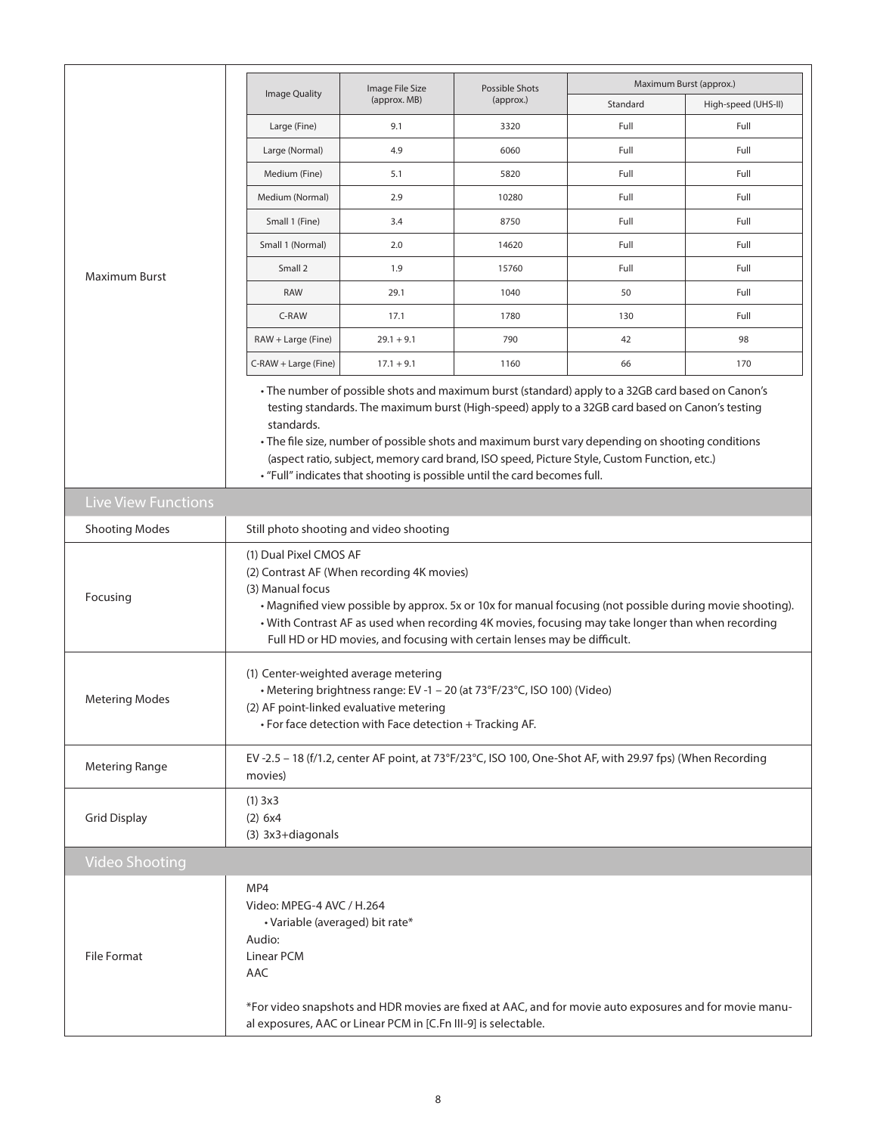|                            |                                                                                                                                                                                                                                                                                                                                                                                                                                                                                                     |                                         |                             | Maximum Burst (approx.)                                                                                  |                     |  |  |  |  |
|----------------------------|-----------------------------------------------------------------------------------------------------------------------------------------------------------------------------------------------------------------------------------------------------------------------------------------------------------------------------------------------------------------------------------------------------------------------------------------------------------------------------------------------------|-----------------------------------------|-----------------------------|----------------------------------------------------------------------------------------------------------|---------------------|--|--|--|--|
|                            | Image Quality                                                                                                                                                                                                                                                                                                                                                                                                                                                                                       | Image File Size<br>(approx. MB)         | Possible Shots<br>(approx.) | Standard                                                                                                 | High-speed (UHS-II) |  |  |  |  |
|                            | Large (Fine)                                                                                                                                                                                                                                                                                                                                                                                                                                                                                        | 9.1                                     | 3320                        | Full                                                                                                     | Full                |  |  |  |  |
|                            | Large (Normal)                                                                                                                                                                                                                                                                                                                                                                                                                                                                                      | 4.9                                     | 6060                        | Full                                                                                                     | Full                |  |  |  |  |
|                            | Medium (Fine)                                                                                                                                                                                                                                                                                                                                                                                                                                                                                       | 5.1                                     | 5820                        | Full                                                                                                     | Full                |  |  |  |  |
|                            | Medium (Normal)                                                                                                                                                                                                                                                                                                                                                                                                                                                                                     | 2.9                                     | 10280                       | Full                                                                                                     | Full                |  |  |  |  |
|                            | Small 1 (Fine)                                                                                                                                                                                                                                                                                                                                                                                                                                                                                      | 3.4                                     | 8750                        | Full                                                                                                     | Full                |  |  |  |  |
|                            | Small 1 (Normal)                                                                                                                                                                                                                                                                                                                                                                                                                                                                                    | 2.0<br>Full<br>14620                    |                             |                                                                                                          |                     |  |  |  |  |
| Maximum Burst              | Small 2                                                                                                                                                                                                                                                                                                                                                                                                                                                                                             | 1.9                                     | 15760                       | Full                                                                                                     | Full                |  |  |  |  |
|                            | <b>RAW</b>                                                                                                                                                                                                                                                                                                                                                                                                                                                                                          | 29.1                                    | 1040                        | 50                                                                                                       | Full                |  |  |  |  |
|                            | C-RAW                                                                                                                                                                                                                                                                                                                                                                                                                                                                                               | 17.1                                    | 1780                        | 130                                                                                                      | Full                |  |  |  |  |
|                            | RAW + Large (Fine)                                                                                                                                                                                                                                                                                                                                                                                                                                                                                  | $29.1 + 9.1$                            | 790                         | 42                                                                                                       | 98                  |  |  |  |  |
|                            | C-RAW + Large (Fine)                                                                                                                                                                                                                                                                                                                                                                                                                                                                                | $17.1 + 9.1$                            | 1160                        | 66                                                                                                       | 170                 |  |  |  |  |
|                            | · The number of possible shots and maximum burst (standard) apply to a 32GB card based on Canon's<br>testing standards. The maximum burst (High-speed) apply to a 32GB card based on Canon's testing<br>standards.<br>• The file size, number of possible shots and maximum burst vary depending on shooting conditions<br>(aspect ratio, subject, memory card brand, ISO speed, Picture Style, Custom Function, etc.)<br>• "Full" indicates that shooting is possible until the card becomes full. |                                         |                             |                                                                                                          |                     |  |  |  |  |
| <b>Live View Functions</b> |                                                                                                                                                                                                                                                                                                                                                                                                                                                                                                     |                                         |                             |                                                                                                          |                     |  |  |  |  |
| <b>Shooting Modes</b>      |                                                                                                                                                                                                                                                                                                                                                                                                                                                                                                     | Still photo shooting and video shooting |                             |                                                                                                          |                     |  |  |  |  |
| Focusing                   | (1) Dual Pixel CMOS AF<br>(2) Contrast AF (When recording 4K movies)<br>(3) Manual focus<br>• Magnified view possible by approx. 5x or 10x for manual focusing (not possible during movie shooting).<br>• With Contrast AF as used when recording 4K movies, focusing may take longer than when recording<br>Full HD or HD movies, and focusing with certain lenses may be difficult.                                                                                                               |                                         |                             |                                                                                                          |                     |  |  |  |  |
| <b>Metering Modes</b>      | (1) Center-weighted average metering<br>• Metering brightness range: EV -1 - 20 (at 73°F/23°C, ISO 100) (Video)<br>(2) AF point-linked evaluative metering<br>• For face detection with Face detection + Tracking AF.                                                                                                                                                                                                                                                                               |                                         |                             |                                                                                                          |                     |  |  |  |  |
| <b>Metering Range</b>      | movies)                                                                                                                                                                                                                                                                                                                                                                                                                                                                                             |                                         |                             | EV-2.5 - 18 (f/1.2, center AF point, at 73°F/23°C, ISO 100, One-Shot AF, with 29.97 fps) (When Recording |                     |  |  |  |  |
| <b>Grid Display</b>        | (1) 3x3<br>(2) 6x4<br>(3) 3x3+diagonals                                                                                                                                                                                                                                                                                                                                                                                                                                                             |                                         |                             |                                                                                                          |                     |  |  |  |  |
| <b>Video Shooting</b>      |                                                                                                                                                                                                                                                                                                                                                                                                                                                                                                     |                                         |                             |                                                                                                          |                     |  |  |  |  |
| <b>File Format</b>         | MP4<br>Video: MPEG-4 AVC / H.264<br>• Variable (averaged) bit rate*<br>Audio:<br>Linear PCM<br>AAC<br>*For video snapshots and HDR movies are fixed at AAC, and for movie auto exposures and for movie manu-<br>al exposures, AAC or Linear PCM in [C.Fn III-9] is selectable.                                                                                                                                                                                                                      |                                         |                             |                                                                                                          |                     |  |  |  |  |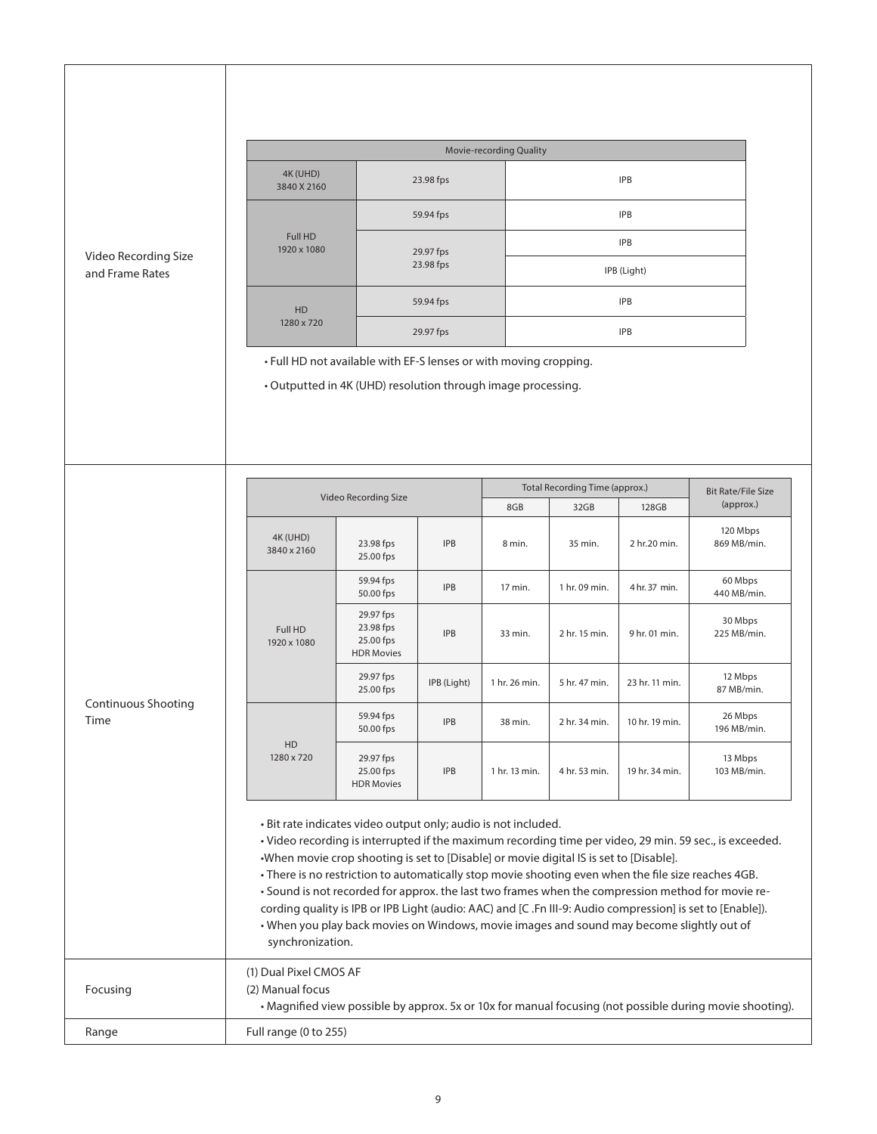|                                         | <b>Movie-recording Quality</b>                                                                                                                                                                                                                                                                                                                                                                                                                                                                                                                                                                                                                                                                                 |                                                          |             |               |                                |                |                         |                           |  |  |
|-----------------------------------------|----------------------------------------------------------------------------------------------------------------------------------------------------------------------------------------------------------------------------------------------------------------------------------------------------------------------------------------------------------------------------------------------------------------------------------------------------------------------------------------------------------------------------------------------------------------------------------------------------------------------------------------------------------------------------------------------------------------|----------------------------------------------------------|-------------|---------------|--------------------------------|----------------|-------------------------|---------------------------|--|--|
|                                         | 4K (UHD)<br>3840 X 2160                                                                                                                                                                                                                                                                                                                                                                                                                                                                                                                                                                                                                                                                                        |                                                          | 23.98 fps   |               | <b>IPB</b>                     |                |                         |                           |  |  |
|                                         |                                                                                                                                                                                                                                                                                                                                                                                                                                                                                                                                                                                                                                                                                                                |                                                          | 59.94 fps   |               |                                | <b>IPB</b>     |                         |                           |  |  |
| Video Recording Size<br>and Frame Rates | Full HD<br>1920 x 1080                                                                                                                                                                                                                                                                                                                                                                                                                                                                                                                                                                                                                                                                                         |                                                          | 29.97 fps   |               |                                | <b>IPB</b>     |                         |                           |  |  |
|                                         |                                                                                                                                                                                                                                                                                                                                                                                                                                                                                                                                                                                                                                                                                                                |                                                          | 23.98 fps   |               |                                | IPB (Light)    |                         |                           |  |  |
|                                         | HD<br>1280 x 720                                                                                                                                                                                                                                                                                                                                                                                                                                                                                                                                                                                                                                                                                               |                                                          | 59.94 fps   |               |                                | <b>IPB</b>     |                         |                           |  |  |
|                                         | • Full HD not available with EF-S lenses or with moving cropping.                                                                                                                                                                                                                                                                                                                                                                                                                                                                                                                                                                                                                                              |                                                          | 29.97 fps   |               |                                | <b>IPB</b>     |                         |                           |  |  |
|                                         | • Outputted in 4K (UHD) resolution through image processing.                                                                                                                                                                                                                                                                                                                                                                                                                                                                                                                                                                                                                                                   |                                                          |             |               |                                |                |                         |                           |  |  |
|                                         |                                                                                                                                                                                                                                                                                                                                                                                                                                                                                                                                                                                                                                                                                                                |                                                          |             |               | Total Recording Time (approx.) |                |                         | <b>Bit Rate/File Size</b> |  |  |
|                                         |                                                                                                                                                                                                                                                                                                                                                                                                                                                                                                                                                                                                                                                                                                                | Video Recording Size                                     |             | 8GB           | 32GB                           | 128GB          | (approx.)               |                           |  |  |
|                                         | 4K (UHD)<br>3840 x 2160                                                                                                                                                                                                                                                                                                                                                                                                                                                                                                                                                                                                                                                                                        | 23.98 fps<br>25.00 fps                                   | <b>IPB</b>  | 8 min.        | 35 min.                        | 2 hr.20 min.   | 120 Mbps<br>869 MB/min. |                           |  |  |
|                                         |                                                                                                                                                                                                                                                                                                                                                                                                                                                                                                                                                                                                                                                                                                                | 59.94 fps<br>50.00 fps                                   | <b>IPB</b>  | 17 min.       | 1 hr. 09 min.                  | 4 hr. 37 min.  | 60 Mbps<br>440 MB/min.  |                           |  |  |
|                                         | Full HD<br>1920 x 1080                                                                                                                                                                                                                                                                                                                                                                                                                                                                                                                                                                                                                                                                                         | 29.97 fps<br>23.98 fps<br>25.00 fps<br><b>HDR Movies</b> | <b>IPB</b>  | 33 min.       | 2 hr. 15 min.                  | 9 hr. 01 min.  | 30 Mbps<br>225 MB/min.  |                           |  |  |
|                                         |                                                                                                                                                                                                                                                                                                                                                                                                                                                                                                                                                                                                                                                                                                                | 29.97 fps<br>25.00 fps                                   | IPB (Light) | 1 hr. 26 min. | 5 hr. 47 min.                  | 23 hr. 11 min. | 12 Mbps<br>87 MB/min.   |                           |  |  |
| Continuous Shooting<br>Time             |                                                                                                                                                                                                                                                                                                                                                                                                                                                                                                                                                                                                                                                                                                                | 59.94 fps<br>50.00 fps                                   | <b>IPB</b>  | 38 min.       | 2 hr. 34 min.                  | 10 hr. 19 min. | 26 Mbps<br>196 MB/min.  |                           |  |  |
|                                         | HD<br>1280 x 720                                                                                                                                                                                                                                                                                                                                                                                                                                                                                                                                                                                                                                                                                               | 29.97 fps<br>25.00 fps<br><b>HDR Movies</b>              | <b>IPB</b>  | 1 hr. 13 min. | 4 hr. 53 min.                  | 19 hr. 34 min. | 13 Mbps<br>103 MB/min.  |                           |  |  |
|                                         | · Bit rate indicates video output only; audio is not included.<br>· Video recording is interrupted if the maximum recording time per video, 29 min. 59 sec., is exceeded.<br>•When movie crop shooting is set to [Disable] or movie digital IS is set to [Disable].<br>• There is no restriction to automatically stop movie shooting even when the file size reaches 4GB.<br>• Sound is not recorded for approx. the last two frames when the compression method for movie re-<br>cording quality is IPB or IPB Light (audio: AAC) and [C .Fn III-9: Audio compression] is set to [Enable]).<br>• When you play back movies on Windows, movie images and sound may become slightly out of<br>synchronization. |                                                          |             |               |                                |                |                         |                           |  |  |
| Focusing                                | (1) Dual Pixel CMOS AF<br>(2) Manual focus<br>• Magnified view possible by approx. 5x or 10x for manual focusing (not possible during movie shooting).                                                                                                                                                                                                                                                                                                                                                                                                                                                                                                                                                         |                                                          |             |               |                                |                |                         |                           |  |  |
| Range                                   | Full range (0 to 255)                                                                                                                                                                                                                                                                                                                                                                                                                                                                                                                                                                                                                                                                                          |                                                          |             |               |                                |                |                         |                           |  |  |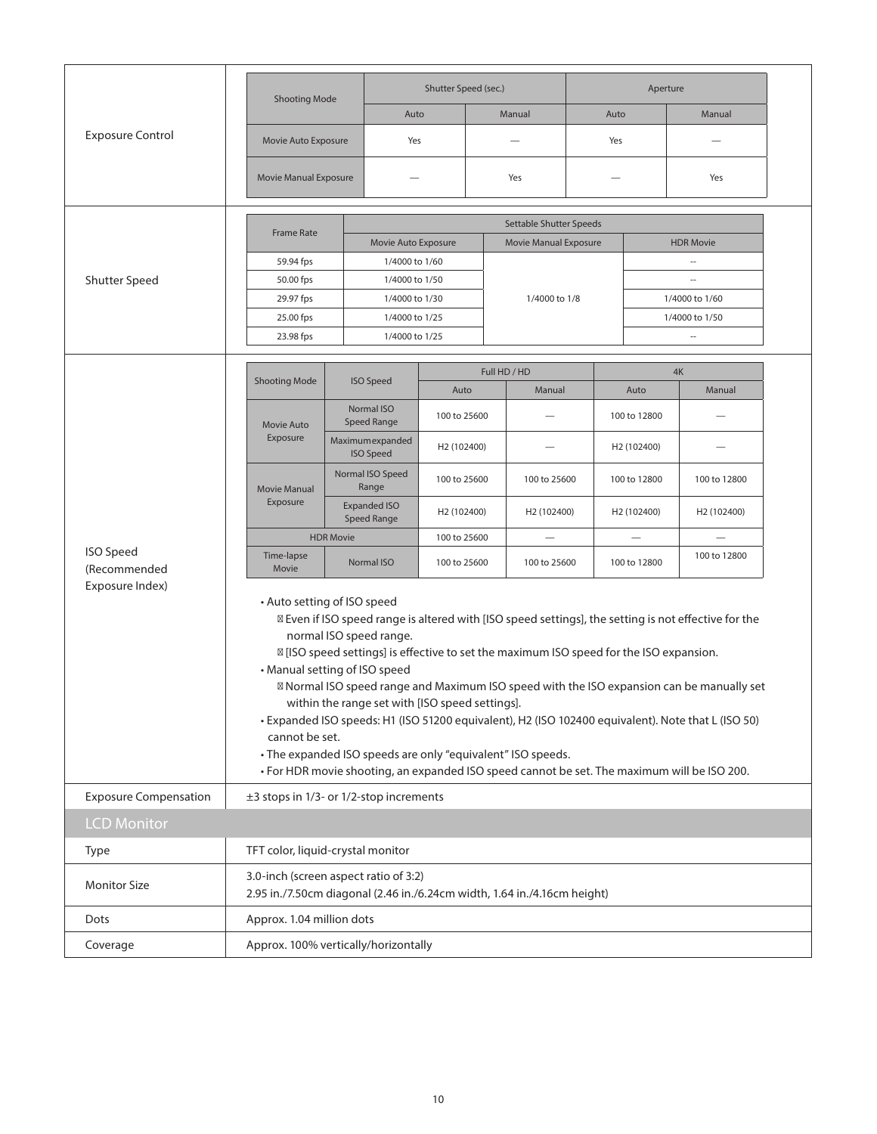|                                  | <b>Shooting Mode</b>                                                                                                                                                                                                                                                                                                                                                                                                                                                                                                                                                                                                                                                                                                       |  |                                       | Shutter Speed (sec.)    |  |                         |      | Aperture                |                                              |  |
|----------------------------------|----------------------------------------------------------------------------------------------------------------------------------------------------------------------------------------------------------------------------------------------------------------------------------------------------------------------------------------------------------------------------------------------------------------------------------------------------------------------------------------------------------------------------------------------------------------------------------------------------------------------------------------------------------------------------------------------------------------------------|--|---------------------------------------|-------------------------|--|-------------------------|------|-------------------------|----------------------------------------------|--|
|                                  |                                                                                                                                                                                                                                                                                                                                                                                                                                                                                                                                                                                                                                                                                                                            |  | Auto                                  |                         |  | Manual                  | Auto |                         | Manual                                       |  |
| <b>Exposure Control</b>          | Movie Auto Exposure                                                                                                                                                                                                                                                                                                                                                                                                                                                                                                                                                                                                                                                                                                        |  | Yes                                   |                         |  |                         | Yes  |                         |                                              |  |
|                                  | Movie Manual Exposure                                                                                                                                                                                                                                                                                                                                                                                                                                                                                                                                                                                                                                                                                                      |  |                                       |                         |  | Yes                     |      |                         | Yes                                          |  |
|                                  | <b>Frame Rate</b>                                                                                                                                                                                                                                                                                                                                                                                                                                                                                                                                                                                                                                                                                                          |  |                                       |                         |  | Settable Shutter Speeds |      |                         |                                              |  |
|                                  | 59.94 fps                                                                                                                                                                                                                                                                                                                                                                                                                                                                                                                                                                                                                                                                                                                  |  | Movie Auto Exposure<br>1/4000 to 1/60 |                         |  | Movie Manual Exposure   |      |                         | <b>HDR Movie</b><br>$\overline{\phantom{a}}$ |  |
| Shutter Speed                    | 50.00 fps                                                                                                                                                                                                                                                                                                                                                                                                                                                                                                                                                                                                                                                                                                                  |  | 1/4000 to 1/50                        |                         |  |                         |      |                         |                                              |  |
|                                  | 29.97 fps                                                                                                                                                                                                                                                                                                                                                                                                                                                                                                                                                                                                                                                                                                                  |  | 1/4000 to 1/30                        |                         |  | 1/4000 to 1/8           |      |                         | 1/4000 to 1/60                               |  |
|                                  | 25.00 fps                                                                                                                                                                                                                                                                                                                                                                                                                                                                                                                                                                                                                                                                                                                  |  | 1/4000 to 1/25                        |                         |  |                         |      |                         | 1/4000 to 1/50                               |  |
|                                  | 23.98 fps                                                                                                                                                                                                                                                                                                                                                                                                                                                                                                                                                                                                                                                                                                                  |  | 1/4000 to 1/25                        |                         |  |                         |      |                         |                                              |  |
|                                  |                                                                                                                                                                                                                                                                                                                                                                                                                                                                                                                                                                                                                                                                                                                            |  |                                       |                         |  |                         |      |                         |                                              |  |
|                                  | <b>Shooting Mode</b>                                                                                                                                                                                                                                                                                                                                                                                                                                                                                                                                                                                                                                                                                                       |  | <b>ISO Speed</b>                      | Auto                    |  | Full HD / HD<br>Manual  |      | Auto                    | 4K<br>Manual                                 |  |
|                                  | Movie Auto                                                                                                                                                                                                                                                                                                                                                                                                                                                                                                                                                                                                                                                                                                                 |  | Normal ISO<br><b>Speed Range</b>      | 100 to 25600            |  |                         |      | 100 to 12800            |                                              |  |
|                                  | Exposure                                                                                                                                                                                                                                                                                                                                                                                                                                                                                                                                                                                                                                                                                                                   |  | Maximumexpanded<br><b>ISO Speed</b>   | H <sub>2</sub> (102400) |  |                         |      | H2 (102400)             |                                              |  |
|                                  | <b>Movie Manual</b>                                                                                                                                                                                                                                                                                                                                                                                                                                                                                                                                                                                                                                                                                                        |  | Normal ISO Speed<br>Range             | 100 to 25600            |  | 100 to 25600            |      | 100 to 12800            | 100 to 12800                                 |  |
|                                  | Exposure                                                                                                                                                                                                                                                                                                                                                                                                                                                                                                                                                                                                                                                                                                                   |  | <b>Expanded ISO</b><br>Speed Range    | H <sub>2</sub> (102400) |  | H <sub>2</sub> (102400) |      | H <sub>2</sub> (102400) | H <sub>2</sub> (102400)                      |  |
|                                  | <b>HDR Movie</b>                                                                                                                                                                                                                                                                                                                                                                                                                                                                                                                                                                                                                                                                                                           |  |                                       | 100 to 25600            |  |                         |      |                         |                                              |  |
| <b>ISO Speed</b><br>(Recommended | Time-lapse<br>Movie                                                                                                                                                                                                                                                                                                                                                                                                                                                                                                                                                                                                                                                                                                        |  | Normal ISO                            | 100 to 25600            |  | 100 to 25600            |      | 100 to 12800            | 100 to 12800                                 |  |
| Exposure Index)                  | • Auto setting of ISO speed<br>Even if ISO speed range is altered with [ISO speed settings], the setting is not effective for the<br>normal ISO speed range.<br>[ISO speed settings] is effective to set the maximum ISO speed for the ISO expansion.<br>• Manual setting of ISO speed<br>Normal ISO speed range and Maximum ISO speed with the ISO expansion can be manually set<br>within the range set with [ISO speed settings].<br>· Expanded ISO speeds: H1 (ISO 51200 equivalent), H2 (ISO 102400 equivalent). Note that L (ISO 50)<br>cannot be set.<br>• The expanded ISO speeds are only "equivalent" ISO speeds.<br>• For HDR movie shooting, an expanded ISO speed cannot be set. The maximum will be ISO 200. |  |                                       |                         |  |                         |      |                         |                                              |  |
| <b>Exposure Compensation</b>     | ±3 stops in 1/3- or 1/2-stop increments                                                                                                                                                                                                                                                                                                                                                                                                                                                                                                                                                                                                                                                                                    |  |                                       |                         |  |                         |      |                         |                                              |  |
| <b>LCD Monitor</b>               |                                                                                                                                                                                                                                                                                                                                                                                                                                                                                                                                                                                                                                                                                                                            |  |                                       |                         |  |                         |      |                         |                                              |  |
| Type                             | TFT color, liquid-crystal monitor                                                                                                                                                                                                                                                                                                                                                                                                                                                                                                                                                                                                                                                                                          |  |                                       |                         |  |                         |      |                         |                                              |  |
| <b>Monitor Size</b>              | 3.0-inch (screen aspect ratio of 3:2)<br>2.95 in./7.50cm diagonal (2.46 in./6.24cm width, 1.64 in./4.16cm height)                                                                                                                                                                                                                                                                                                                                                                                                                                                                                                                                                                                                          |  |                                       |                         |  |                         |      |                         |                                              |  |
| Dots                             | Approx. 1.04 million dots                                                                                                                                                                                                                                                                                                                                                                                                                                                                                                                                                                                                                                                                                                  |  |                                       |                         |  |                         |      |                         |                                              |  |
| Coverage                         | Approx. 100% vertically/horizontally                                                                                                                                                                                                                                                                                                                                                                                                                                                                                                                                                                                                                                                                                       |  |                                       |                         |  |                         |      |                         |                                              |  |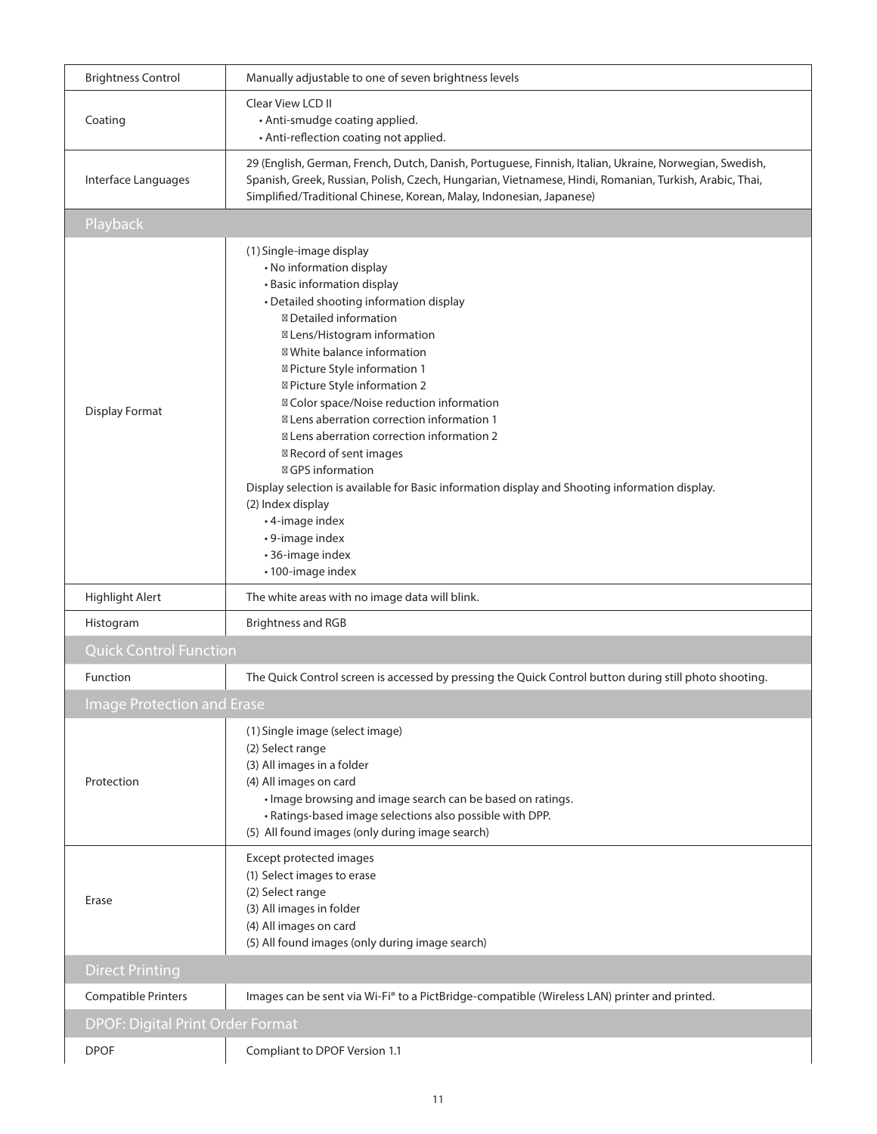| <b>Brightness Control</b>               | Manually adjustable to one of seven brightness levels                                                                                                                                                                                                                                                                                                                                                                                                                                                                                                                                                                                                                      |
|-----------------------------------------|----------------------------------------------------------------------------------------------------------------------------------------------------------------------------------------------------------------------------------------------------------------------------------------------------------------------------------------------------------------------------------------------------------------------------------------------------------------------------------------------------------------------------------------------------------------------------------------------------------------------------------------------------------------------------|
| Coating                                 | <b>Clear View LCD II</b><br>• Anti-smudge coating applied.<br>• Anti-reflection coating not applied.                                                                                                                                                                                                                                                                                                                                                                                                                                                                                                                                                                       |
| Interface Languages                     | 29 (English, German, French, Dutch, Danish, Portuguese, Finnish, Italian, Ukraine, Norwegian, Swedish,<br>Spanish, Greek, Russian, Polish, Czech, Hungarian, Vietnamese, Hindi, Romanian, Turkish, Arabic, Thai,<br>Simplified/Traditional Chinese, Korean, Malay, Indonesian, Japanese)                                                                                                                                                                                                                                                                                                                                                                                   |
| Playback                                |                                                                                                                                                                                                                                                                                                                                                                                                                                                                                                                                                                                                                                                                            |
| <b>Display Format</b>                   | (1) Single-image display<br>• No information display<br>• Basic information display<br>• Detailed shooting information display<br>Detailed information<br>Lens/Histogram information<br>White balance information<br>Picture Style information 1<br>Picture Style information 2<br>Color space/Noise reduction information<br>Lens aberration correction information 1<br>Lens aberration correction information 2<br>Record of sent images<br><b>GPS</b> information<br>Display selection is available for Basic information display and Shooting information display.<br>(2) Index display<br>• 4-image index<br>• 9-image index<br>• 36-image index<br>•100-image index |
| Highlight Alert                         | The white areas with no image data will blink.                                                                                                                                                                                                                                                                                                                                                                                                                                                                                                                                                                                                                             |
| Histogram                               | <b>Brightness and RGB</b>                                                                                                                                                                                                                                                                                                                                                                                                                                                                                                                                                                                                                                                  |
| <b>Quick Control Function</b>           |                                                                                                                                                                                                                                                                                                                                                                                                                                                                                                                                                                                                                                                                            |
| Function                                | The Quick Control screen is accessed by pressing the Quick Control button during still photo shooting.                                                                                                                                                                                                                                                                                                                                                                                                                                                                                                                                                                     |
| <b>Image Protection and Erase</b>       |                                                                                                                                                                                                                                                                                                                                                                                                                                                                                                                                                                                                                                                                            |
| Protection                              | (1) Single image (select image)<br>(2) Select range<br>(3) All images in a folder<br>(4) All images on card<br>• Image browsing and image search can be based on ratings.<br>• Ratings-based image selections also possible with DPP.<br>(5) All found images (only during image search)                                                                                                                                                                                                                                                                                                                                                                                   |
| Erase                                   | Except protected images<br>(1) Select images to erase<br>(2) Select range<br>(3) All images in folder<br>(4) All images on card<br>(5) All found images (only during image search)                                                                                                                                                                                                                                                                                                                                                                                                                                                                                         |
| <b>Direct Printing</b>                  |                                                                                                                                                                                                                                                                                                                                                                                                                                                                                                                                                                                                                                                                            |
| <b>Compatible Printers</b>              | Images can be sent via Wi-Fi® to a PictBridge-compatible (Wireless LAN) printer and printed.                                                                                                                                                                                                                                                                                                                                                                                                                                                                                                                                                                               |
| <b>DPOF: Digital Print Order Format</b> |                                                                                                                                                                                                                                                                                                                                                                                                                                                                                                                                                                                                                                                                            |
| <b>DPOF</b>                             | Compliant to DPOF Version 1.1                                                                                                                                                                                                                                                                                                                                                                                                                                                                                                                                                                                                                                              |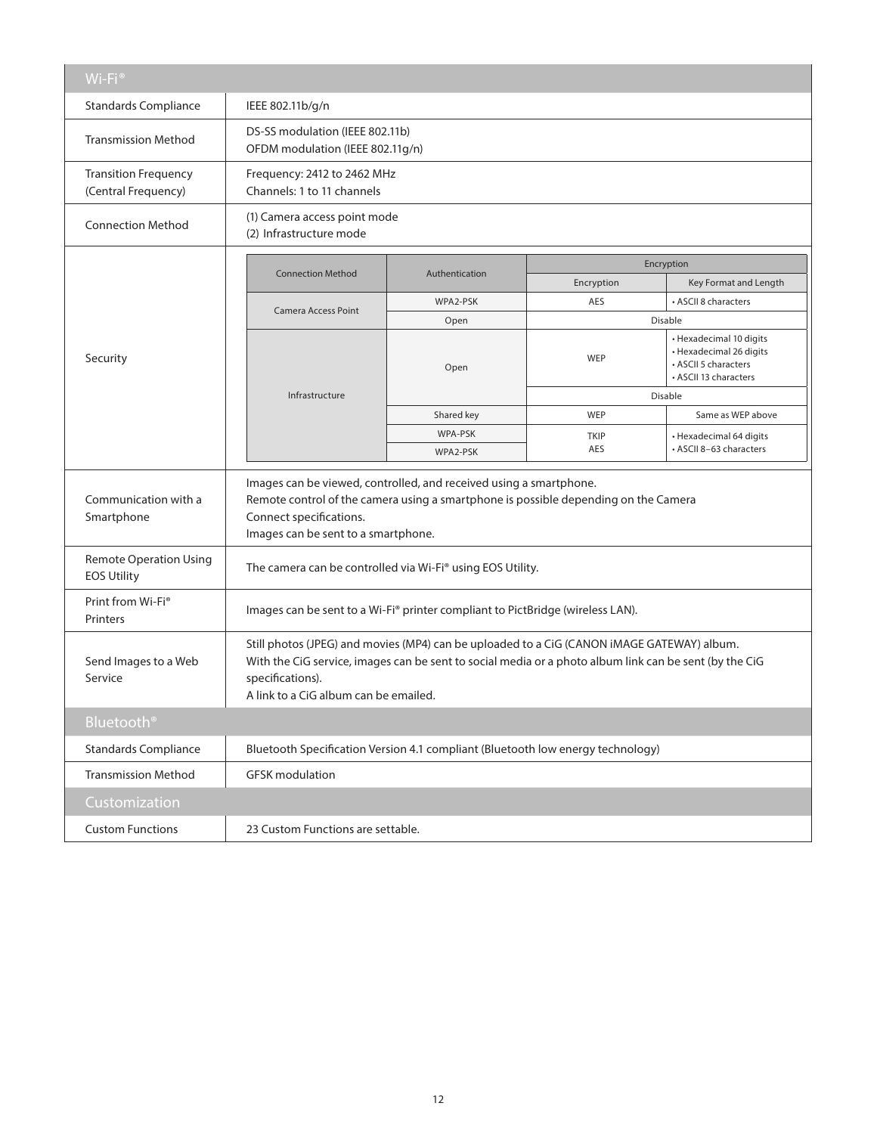| Wi-Fi <sup>®</sup>                                  |                                                                                                                                                                                                                                                                   |                             |                           |                                                                                                     |  |  |  |  |
|-----------------------------------------------------|-------------------------------------------------------------------------------------------------------------------------------------------------------------------------------------------------------------------------------------------------------------------|-----------------------------|---------------------------|-----------------------------------------------------------------------------------------------------|--|--|--|--|
| <b>Standards Compliance</b>                         | IEEE 802.11b/g/n                                                                                                                                                                                                                                                  |                             |                           |                                                                                                     |  |  |  |  |
| <b>Transmission Method</b>                          | DS-SS modulation (IEEE 802.11b)<br>OFDM modulation (IEEE 802.11g/n)                                                                                                                                                                                               |                             |                           |                                                                                                     |  |  |  |  |
| <b>Transition Frequency</b><br>(Central Frequency)  | Channels: 1 to 11 channels                                                                                                                                                                                                                                        | Frequency: 2412 to 2462 MHz |                           |                                                                                                     |  |  |  |  |
| <b>Connection Method</b>                            | (1) Camera access point mode<br>(2) Infrastructure mode                                                                                                                                                                                                           |                             |                           |                                                                                                     |  |  |  |  |
|                                                     |                                                                                                                                                                                                                                                                   | Encryption                  |                           |                                                                                                     |  |  |  |  |
|                                                     | <b>Connection Method</b>                                                                                                                                                                                                                                          | Authentication              | Encryption                | Key Format and Length                                                                               |  |  |  |  |
|                                                     |                                                                                                                                                                                                                                                                   | WPA2-PSK                    | AES                       | • ASCII 8 characters                                                                                |  |  |  |  |
|                                                     | Camera Access Point                                                                                                                                                                                                                                               | Open                        |                           | Disable                                                                                             |  |  |  |  |
| Security                                            | Infrastructure                                                                                                                                                                                                                                                    | Open                        | WEP                       | • Hexadecimal 10 digits<br>• Hexadecimal 26 digits<br>• ASCII 5 characters<br>• ASCII 13 characters |  |  |  |  |
|                                                     |                                                                                                                                                                                                                                                                   |                             |                           | Disable                                                                                             |  |  |  |  |
|                                                     |                                                                                                                                                                                                                                                                   | Shared key                  | WEP                       | Same as WEP above                                                                                   |  |  |  |  |
|                                                     |                                                                                                                                                                                                                                                                   | WPA-PSK<br>WPA2-PSK         | <b>TKIP</b><br><b>AES</b> | • Hexadecimal 64 digits<br>• ASCII 8-63 characters                                                  |  |  |  |  |
| Communication with a<br>Smartphone                  | Images can be viewed, controlled, and received using a smartphone.<br>Remote control of the camera using a smartphone is possible depending on the Camera<br>Connect specifications.<br>Images can be sent to a smartphone.                                       |                             |                           |                                                                                                     |  |  |  |  |
| <b>Remote Operation Using</b><br><b>EOS Utility</b> | The camera can be controlled via Wi-Fi® using EOS Utility.                                                                                                                                                                                                        |                             |                           |                                                                                                     |  |  |  |  |
| Print from Wi-Fi <sup>®</sup><br>Printers           | Images can be sent to a Wi-Fi® printer compliant to PictBridge (wireless LAN).                                                                                                                                                                                    |                             |                           |                                                                                                     |  |  |  |  |
| Send Images to a Web<br>Service                     | Still photos (JPEG) and movies (MP4) can be uploaded to a CiG (CANON iMAGE GATEWAY) album.<br>With the CiG service, images can be sent to social media or a photo album link can be sent (by the CiG<br>specifications).<br>A link to a CiG album can be emailed. |                             |                           |                                                                                                     |  |  |  |  |
| Bluetooth <sup>®</sup>                              |                                                                                                                                                                                                                                                                   |                             |                           |                                                                                                     |  |  |  |  |
| <b>Standards Compliance</b>                         | Bluetooth Specification Version 4.1 compliant (Bluetooth low energy technology)                                                                                                                                                                                   |                             |                           |                                                                                                     |  |  |  |  |
| <b>Transmission Method</b>                          | <b>GFSK</b> modulation                                                                                                                                                                                                                                            |                             |                           |                                                                                                     |  |  |  |  |
| Customization                                       |                                                                                                                                                                                                                                                                   |                             |                           |                                                                                                     |  |  |  |  |
| <b>Custom Functions</b>                             | 23 Custom Functions are settable.                                                                                                                                                                                                                                 |                             |                           |                                                                                                     |  |  |  |  |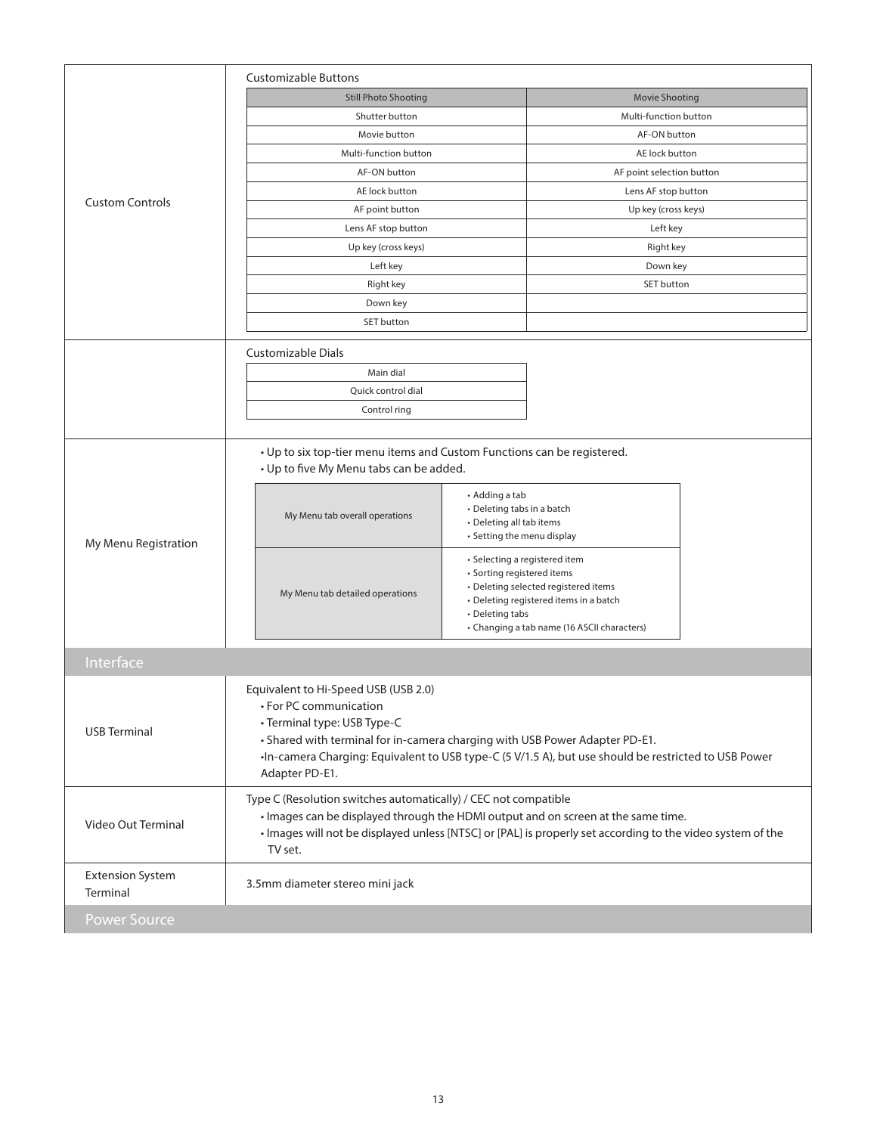|                                     | <b>Customizable Buttons</b>                                                                                                                                                                                                                                                                            |                                                                                                                                                                                                                 |                           |  |  |
|-------------------------------------|--------------------------------------------------------------------------------------------------------------------------------------------------------------------------------------------------------------------------------------------------------------------------------------------------------|-----------------------------------------------------------------------------------------------------------------------------------------------------------------------------------------------------------------|---------------------------|--|--|
|                                     | <b>Still Photo Shooting</b>                                                                                                                                                                                                                                                                            |                                                                                                                                                                                                                 | <b>Movie Shooting</b>     |  |  |
|                                     | Shutter button                                                                                                                                                                                                                                                                                         |                                                                                                                                                                                                                 | Multi-function button     |  |  |
|                                     | Movie button                                                                                                                                                                                                                                                                                           |                                                                                                                                                                                                                 | AF-ON button              |  |  |
|                                     | Multi-function button                                                                                                                                                                                                                                                                                  |                                                                                                                                                                                                                 | AE lock button            |  |  |
| <b>Custom Controls</b>              | AF-ON button                                                                                                                                                                                                                                                                                           |                                                                                                                                                                                                                 | AF point selection button |  |  |
|                                     | AE lock button                                                                                                                                                                                                                                                                                         |                                                                                                                                                                                                                 | Lens AF stop button       |  |  |
|                                     | AF point button                                                                                                                                                                                                                                                                                        |                                                                                                                                                                                                                 | Up key (cross keys)       |  |  |
|                                     | Lens AF stop button                                                                                                                                                                                                                                                                                    |                                                                                                                                                                                                                 | Left key                  |  |  |
|                                     | Up key (cross keys)                                                                                                                                                                                                                                                                                    |                                                                                                                                                                                                                 | Right key                 |  |  |
|                                     | Left key                                                                                                                                                                                                                                                                                               |                                                                                                                                                                                                                 | Down key                  |  |  |
|                                     | Right key                                                                                                                                                                                                                                                                                              |                                                                                                                                                                                                                 | SET button                |  |  |
|                                     | Down key                                                                                                                                                                                                                                                                                               |                                                                                                                                                                                                                 |                           |  |  |
|                                     | SET button                                                                                                                                                                                                                                                                                             |                                                                                                                                                                                                                 |                           |  |  |
|                                     | Customizable Dials                                                                                                                                                                                                                                                                                     |                                                                                                                                                                                                                 |                           |  |  |
|                                     | Main dial                                                                                                                                                                                                                                                                                              |                                                                                                                                                                                                                 |                           |  |  |
|                                     | Quick control dial                                                                                                                                                                                                                                                                                     |                                                                                                                                                                                                                 |                           |  |  |
|                                     | Control ring                                                                                                                                                                                                                                                                                           |                                                                                                                                                                                                                 |                           |  |  |
|                                     |                                                                                                                                                                                                                                                                                                        |                                                                                                                                                                                                                 |                           |  |  |
| My Menu Registration                | • Up to six top-tier menu items and Custom Functions can be registered.<br>• Up to five My Menu tabs can be added.                                                                                                                                                                                     |                                                                                                                                                                                                                 |                           |  |  |
|                                     | My Menu tab overall operations                                                                                                                                                                                                                                                                         | • Adding a tab<br>• Deleting tabs in a batch<br>• Deleting all tab items<br>• Setting the menu display                                                                                                          |                           |  |  |
|                                     | My Menu tab detailed operations                                                                                                                                                                                                                                                                        | • Selecting a registered item<br>• Sorting registered items<br>• Deleting selected registered items<br>• Deleting registered items in a batch<br>• Deleting tabs<br>• Changing a tab name (16 ASCII characters) |                           |  |  |
| Interface                           |                                                                                                                                                                                                                                                                                                        |                                                                                                                                                                                                                 |                           |  |  |
| <b>USB Terminal</b>                 | Equivalent to Hi-Speed USB (USB 2.0)<br>• For PC communication<br>• Terminal type: USB Type-C<br>• Shared with terminal for in-camera charging with USB Power Adapter PD-E1.<br>•In-camera Charging: Equivalent to USB type-C (5 V/1.5 A), but use should be restricted to USB Power<br>Adapter PD-E1. |                                                                                                                                                                                                                 |                           |  |  |
| Video Out Terminal                  | Type C (Resolution switches automatically) / CEC not compatible<br>• Images can be displayed through the HDMI output and on screen at the same time.<br>· Images will not be displayed unless [NTSC] or [PAL] is properly set according to the video system of the<br>TV set.                          |                                                                                                                                                                                                                 |                           |  |  |
| <b>Extension System</b><br>Terminal | 3.5mm diameter stereo mini jack                                                                                                                                                                                                                                                                        |                                                                                                                                                                                                                 |                           |  |  |
| <b>Power Source</b>                 |                                                                                                                                                                                                                                                                                                        |                                                                                                                                                                                                                 |                           |  |  |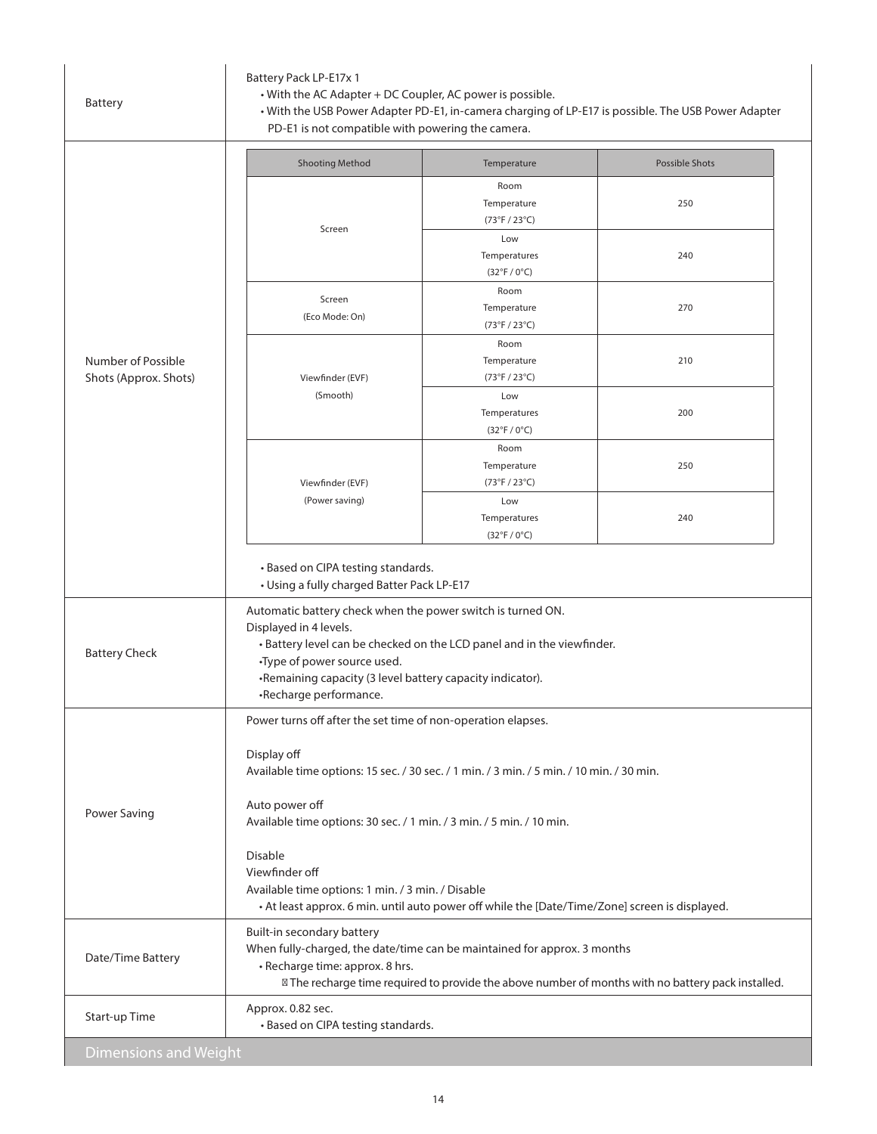|                                             | PD-E1 is not compatible with powering the camera.                                                                                                                                                                                                                                     |                                                     |                       |  |  |
|---------------------------------------------|---------------------------------------------------------------------------------------------------------------------------------------------------------------------------------------------------------------------------------------------------------------------------------------|-----------------------------------------------------|-----------------------|--|--|
|                                             | <b>Shooting Method</b>                                                                                                                                                                                                                                                                | Temperature                                         | <b>Possible Shots</b> |  |  |
| Number of Possible<br>Shots (Approx. Shots) | Screen                                                                                                                                                                                                                                                                                | Room<br>Temperature<br>(73°F / 23°C)                | 250                   |  |  |
|                                             |                                                                                                                                                                                                                                                                                       | Low<br>Temperatures<br>$(32^{\circ}F / 0^{\circ}C)$ | 240                   |  |  |
|                                             | Screen<br>(Eco Mode: On)                                                                                                                                                                                                                                                              | Room<br>Temperature<br>(73°F / 23°C)                | 270                   |  |  |
|                                             | Viewfinder (EVF)<br>(Smooth)                                                                                                                                                                                                                                                          | Room<br>Temperature<br>(73°F / 23°C)                | 210                   |  |  |
|                                             |                                                                                                                                                                                                                                                                                       | Low<br>Temperatures<br>$(32^{\circ}F / 0^{\circ}C)$ | 200                   |  |  |
|                                             | Viewfinder (EVF)                                                                                                                                                                                                                                                                      | Room<br>Temperature<br>(73°F / 23°C)                | 250                   |  |  |
|                                             | (Power saving)                                                                                                                                                                                                                                                                        | Low<br>Temperatures<br>$(32^{\circ}F / 0^{\circ}C)$ | 240                   |  |  |
|                                             | • Based on CIPA testing standards.<br>• Using a fully charged Batter Pack LP-E17                                                                                                                                                                                                      |                                                     |                       |  |  |
| <b>Battery Check</b>                        | Automatic battery check when the power switch is turned ON.<br>Displayed in 4 levels.<br>• Battery level can be checked on the LCD panel and in the viewfinder.<br>•Type of power source used.<br>•Remaining capacity (3 level battery capacity indicator).<br>•Recharge performance. |                                                     |                       |  |  |
| Power Saving                                | Power turns off after the set time of non-operation elapses.<br>Display off<br>Available time options: 15 sec. / 30 sec. / 1 min. / 3 min. / 5 min. / 10 min. / 30 min.                                                                                                               |                                                     |                       |  |  |
|                                             | Auto power off<br>Available time options: 30 sec. / 1 min. / 3 min. / 5 min. / 10 min.                                                                                                                                                                                                |                                                     |                       |  |  |
|                                             | <b>Disable</b><br>Viewfinder off<br>Available time options: 1 min. / 3 min. / Disable<br>• At least approx. 6 min. until auto power off while the [Date/Time/Zone] screen is displayed.                                                                                               |                                                     |                       |  |  |
| Date/Time Battery                           | Built-in secondary battery<br>When fully-charged, the date/time can be maintained for approx. 3 months<br>· Recharge time: approx. 8 hrs.<br>The recharge time required to provide the above number of months with no battery pack installed.                                         |                                                     |                       |  |  |
| Start-up Time                               | Approx. 0.82 sec.<br>• Based on CIPA testing standards.                                                                                                                                                                                                                               |                                                     |                       |  |  |